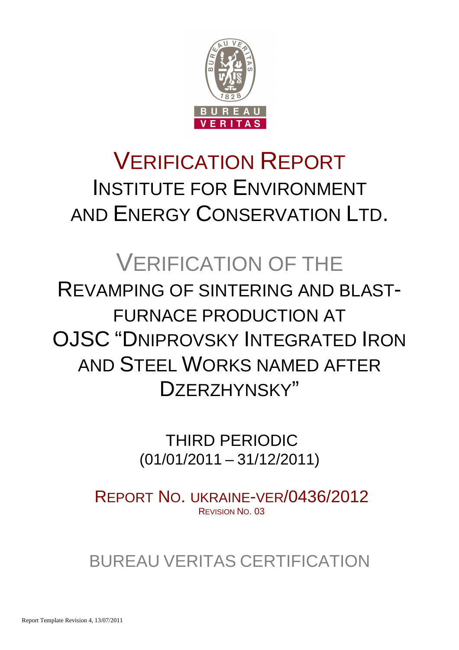

# VERIFICATION REPORT INSTITUTE FOR ENVIRONMENT AND ENERGY CONSERVATION LTD.

# VERIFICATION OF THE REVAMPING OF SINTERING AND BLAST-FURNACE PRODUCTION AT OJSC "DNIPROVSKY INTEGRATED IRON AND STEEL WORKS NAMED AFTER DZERZHYNSKY"

 THIRD PERIODIC (01/01/2011 – 31/12/2011)

REPORT NO. UKRAINE-VER/0436/2012 REVISION NO. 03

BUREAU VERITAS CERTIFICATION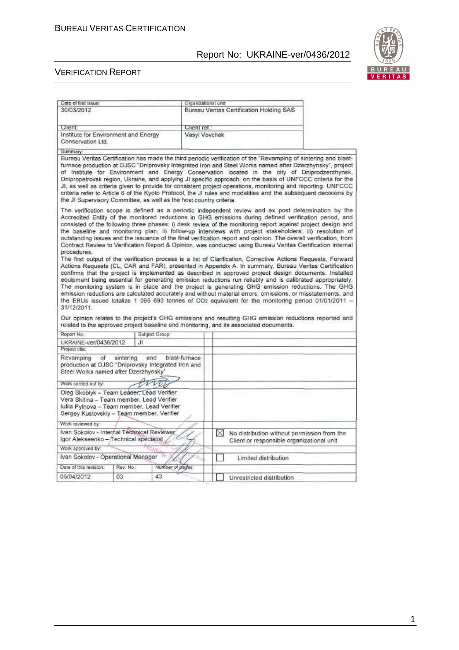

#### VERIFICATION REPORT

| Date of first issue:                                                                                                                                                               | Organizational unit:                                                                                                                                                                                                                                                                                                                                                                                                                                                                                                                                                                                                                                                                                                                                                                                                                                                                                                                                                                                                                                                                                                                                                                                                                                                                                                                                                                                                                                                                                                                                           |
|------------------------------------------------------------------------------------------------------------------------------------------------------------------------------------|----------------------------------------------------------------------------------------------------------------------------------------------------------------------------------------------------------------------------------------------------------------------------------------------------------------------------------------------------------------------------------------------------------------------------------------------------------------------------------------------------------------------------------------------------------------------------------------------------------------------------------------------------------------------------------------------------------------------------------------------------------------------------------------------------------------------------------------------------------------------------------------------------------------------------------------------------------------------------------------------------------------------------------------------------------------------------------------------------------------------------------------------------------------------------------------------------------------------------------------------------------------------------------------------------------------------------------------------------------------------------------------------------------------------------------------------------------------------------------------------------------------------------------------------------------------|
| 30/03/2012                                                                                                                                                                         | Bureau Veritas Certification Holding SAS                                                                                                                                                                                                                                                                                                                                                                                                                                                                                                                                                                                                                                                                                                                                                                                                                                                                                                                                                                                                                                                                                                                                                                                                                                                                                                                                                                                                                                                                                                                       |
|                                                                                                                                                                                    |                                                                                                                                                                                                                                                                                                                                                                                                                                                                                                                                                                                                                                                                                                                                                                                                                                                                                                                                                                                                                                                                                                                                                                                                                                                                                                                                                                                                                                                                                                                                                                |
| Client:                                                                                                                                                                            | Client ret.:                                                                                                                                                                                                                                                                                                                                                                                                                                                                                                                                                                                                                                                                                                                                                                                                                                                                                                                                                                                                                                                                                                                                                                                                                                                                                                                                                                                                                                                                                                                                                   |
| Institute for Environment and Energy<br>Conservation Ltd.                                                                                                                          | Vasyl Voychak                                                                                                                                                                                                                                                                                                                                                                                                                                                                                                                                                                                                                                                                                                                                                                                                                                                                                                                                                                                                                                                                                                                                                                                                                                                                                                                                                                                                                                                                                                                                                  |
| Summary:                                                                                                                                                                           |                                                                                                                                                                                                                                                                                                                                                                                                                                                                                                                                                                                                                                                                                                                                                                                                                                                                                                                                                                                                                                                                                                                                                                                                                                                                                                                                                                                                                                                                                                                                                                |
| the JI Supervisory Committee, as well as the host country criteria.                                                                                                                | Bureau Veritas Certification has made the third periodic verification of the "Revamping of sintering and blast-<br>furnace production at OJSC "Dniprovsky Integrated Iron and Steel Works named after Dzerzhynsky", project<br>of Institute for Environment and Energy Conservation located in the city of Dniprodzerzhynsk,<br>Dnipropetrovsk region, Ukraine, and applying JI specific approach, on the basis of UNFCCC criteria for the<br>JI, as well as criteria given to provide for consistent project operations, monitoring and reporting. UNFCCC<br>criteria refer to Article 6 of the Kyoto Protocol, the JI rules and modalities and the subsequent decisions by                                                                                                                                                                                                                                                                                                                                                                                                                                                                                                                                                                                                                                                                                                                                                                                                                                                                                   |
| procedures.<br>31/12/2011.                                                                                                                                                         | The verification scope is defined as a periodic independent review and ex post determination by the<br>Accredited Entity of the monitored reductions in GHG emissions during defined verification period, and<br>consisted of the following three phases: i) desk review of the monitoring report against project design and<br>the baseline and monitoring plan; ii) follow-up interviews with project stakeholders; iii) resolution of<br>outstanding issues and the issuance of the final verification report and opinion. The overall verification, from<br>Contract Review to Verification Report & Opinion, was conducted using Bureau Veritas Certification internal<br>The first output of the verification process is a list of Clarification, Corrective Actions Requests, Forward<br>Actions Requests (CL, CAR and FAR), presented in Appendix A. In summary, Bureau Veritas Certification<br>confirms that the project is implemented as described in approved project design documents. Installed<br>equipment being essential for generating emission reductions run reliably and is calibrated appropriately.<br>The monitoring system is in place and the project is generating GHG emission reductions. The GHG<br>emission reductions are calculated accurately and without material errors, omissions, or misstatements, and<br>the ERUs issued totalize 1 095 693 tonnes of CO2 equivalent for the monitoring period 01/01/2011 -<br>Our opinion relates to the project's GHG emissions and resulting GHG emission reductions reported and |
|                                                                                                                                                                                    | related to the approved project baseline and monitoring, and its associated documents.                                                                                                                                                                                                                                                                                                                                                                                                                                                                                                                                                                                                                                                                                                                                                                                                                                                                                                                                                                                                                                                                                                                                                                                                                                                                                                                                                                                                                                                                         |
| Report No.:<br>Subject Group:                                                                                                                                                      |                                                                                                                                                                                                                                                                                                                                                                                                                                                                                                                                                                                                                                                                                                                                                                                                                                                                                                                                                                                                                                                                                                                                                                                                                                                                                                                                                                                                                                                                                                                                                                |
| UKRAINE-ver/0436/2012<br>J1<br>Project title:                                                                                                                                      |                                                                                                                                                                                                                                                                                                                                                                                                                                                                                                                                                                                                                                                                                                                                                                                                                                                                                                                                                                                                                                                                                                                                                                                                                                                                                                                                                                                                                                                                                                                                                                |
| sintering<br>and<br>Revamping<br>of<br>production at OJSC "Dniprovsky Integrated Iron and<br>Steel Works named after Dzerzhynsky'                                                  | blast-furnace                                                                                                                                                                                                                                                                                                                                                                                                                                                                                                                                                                                                                                                                                                                                                                                                                                                                                                                                                                                                                                                                                                                                                                                                                                                                                                                                                                                                                                                                                                                                                  |
| Work carried out by:                                                                                                                                                               |                                                                                                                                                                                                                                                                                                                                                                                                                                                                                                                                                                                                                                                                                                                                                                                                                                                                                                                                                                                                                                                                                                                                                                                                                                                                                                                                                                                                                                                                                                                                                                |
|                                                                                                                                                                                    |                                                                                                                                                                                                                                                                                                                                                                                                                                                                                                                                                                                                                                                                                                                                                                                                                                                                                                                                                                                                                                                                                                                                                                                                                                                                                                                                                                                                                                                                                                                                                                |
| Oleg Skoblyk - Team Leader, Lead Verifier<br>Vera Skitina - Team member, Lead Verifier<br>Iuliia Pylnova - Team member, Lead Verifier<br>Sergey Kustovskiy - Team member, Verifier |                                                                                                                                                                                                                                                                                                                                                                                                                                                                                                                                                                                                                                                                                                                                                                                                                                                                                                                                                                                                                                                                                                                                                                                                                                                                                                                                                                                                                                                                                                                                                                |
| Work reviewed by:                                                                                                                                                                  |                                                                                                                                                                                                                                                                                                                                                                                                                                                                                                                                                                                                                                                                                                                                                                                                                                                                                                                                                                                                                                                                                                                                                                                                                                                                                                                                                                                                                                                                                                                                                                |
| Ivan Sokolov - Internal Technical Reviewer<br>Igor Alekseenko - Technical specialist                                                                                               | X<br>No distribution without permission from the<br>Client or responsible organizational unit                                                                                                                                                                                                                                                                                                                                                                                                                                                                                                                                                                                                                                                                                                                                                                                                                                                                                                                                                                                                                                                                                                                                                                                                                                                                                                                                                                                                                                                                  |
| Work approved by:                                                                                                                                                                  |                                                                                                                                                                                                                                                                                                                                                                                                                                                                                                                                                                                                                                                                                                                                                                                                                                                                                                                                                                                                                                                                                                                                                                                                                                                                                                                                                                                                                                                                                                                                                                |
| Ivan Sokolov - Operational Manager                                                                                                                                                 | Limited distribution                                                                                                                                                                                                                                                                                                                                                                                                                                                                                                                                                                                                                                                                                                                                                                                                                                                                                                                                                                                                                                                                                                                                                                                                                                                                                                                                                                                                                                                                                                                                           |
| Rev. No.:<br>Date of this revision.                                                                                                                                                | Number of pages:                                                                                                                                                                                                                                                                                                                                                                                                                                                                                                                                                                                                                                                                                                                                                                                                                                                                                                                                                                                                                                                                                                                                                                                                                                                                                                                                                                                                                                                                                                                                               |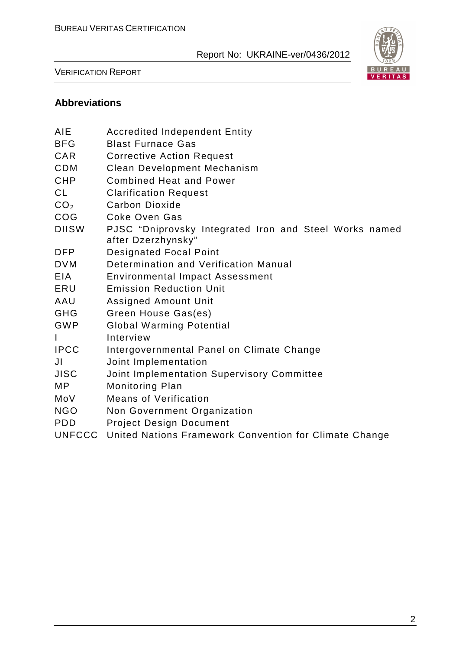

VERIFICATION REPORT

## **Abbreviations**

| <b>AIE</b>      | <b>Accredited Independent Entity</b>                                         |
|-----------------|------------------------------------------------------------------------------|
| <b>BFG</b>      | <b>Blast Furnace Gas</b>                                                     |
| <b>CAR</b>      | <b>Corrective Action Request</b>                                             |
| <b>CDM</b>      | <b>Clean Development Mechanism</b>                                           |
| <b>CHP</b>      | <b>Combined Heat and Power</b>                                               |
| <b>CL</b>       | <b>Clarification Request</b>                                                 |
| CO <sub>2</sub> | <b>Carbon Dioxide</b>                                                        |
| COG             | Coke Oven Gas                                                                |
| <b>DIISW</b>    | PJSC "Dniprovsky Integrated Iron and Steel Works named<br>after Dzerzhynsky" |
| <b>DFP</b>      | <b>Designated Focal Point</b>                                                |
| <b>DVM</b>      | Determination and Verification Manual                                        |
| <b>EIA</b>      | <b>Environmental Impact Assessment</b>                                       |
| ERU             | <b>Emission Reduction Unit</b>                                               |
| AAU             | <b>Assigned Amount Unit</b>                                                  |
| <b>GHG</b>      | Green House Gas(es)                                                          |
| <b>GWP</b>      | <b>Global Warming Potential</b>                                              |
| I               | Interview                                                                    |
| <b>IPCC</b>     | Intergovernmental Panel on Climate Change                                    |
| JI              | Joint Implementation                                                         |
| <b>JISC</b>     | Joint Implementation Supervisory Committee                                   |
| MP              | Monitoring Plan                                                              |
| MoV             | <b>Means of Verification</b>                                                 |
| <b>NGO</b>      | Non Government Organization                                                  |
| <b>PDD</b>      | <b>Project Design Document</b>                                               |
| <b>UNFCCC</b>   | United Nations Framework Convention for Climate Change                       |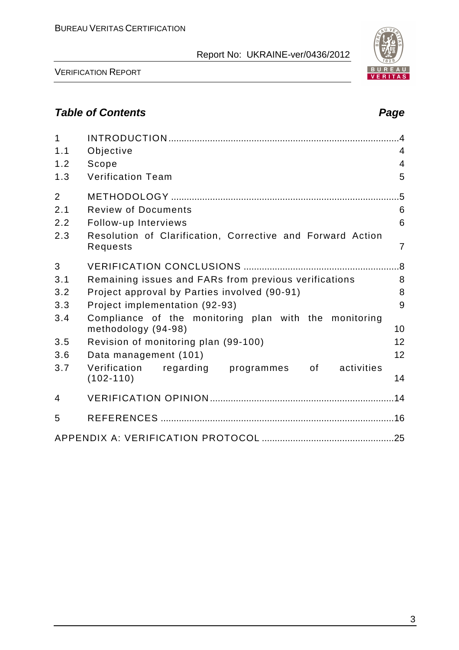

BUREAU<br><mark>VERITAS</mark>

VERIFICATION REPORT

# **Table of Contents Page 2018**

| $\mathbf{1}$   |                                                                              | .4             |
|----------------|------------------------------------------------------------------------------|----------------|
| 1.1            | Objective                                                                    | $\overline{4}$ |
| 1.2            | Scope                                                                        | $\overline{4}$ |
| 1.3            | <b>Verification Team</b>                                                     | 5              |
| $\overline{2}$ |                                                                              | $.5\,$         |
| 2.1            | <b>Review of Documents</b>                                                   | 6              |
| 2.2            | Follow-up Interviews                                                         | 6              |
| 2.3            | Resolution of Clarification, Corrective and Forward Action<br>Requests       | $\overline{7}$ |
| 3              |                                                                              |                |
| 3.1            | Remaining issues and FARs from previous verifications                        | 8              |
| 3.2            | Project approval by Parties involved (90-91)                                 | 8              |
| 3.3            | Project implementation (92-93)                                               | 9              |
| 3.4            | Compliance of the monitoring plan with the monitoring<br>methodology (94-98) | 10             |
| 3.5            | Revision of monitoring plan (99-100)                                         | 12             |
| 3.6            | Data management (101)                                                        | 12             |
| 3.7            | Verification<br>regarding<br>programmes<br>0f<br>activities<br>$(102 - 110)$ | 14             |
| $\overline{4}$ |                                                                              |                |
| 5              |                                                                              |                |
|                |                                                                              |                |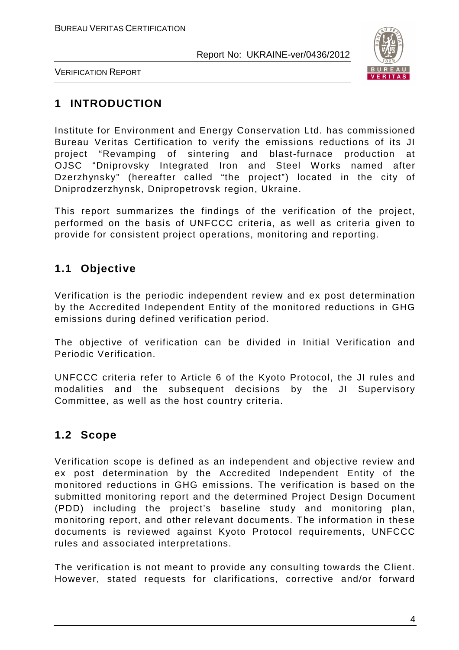

VERIFICATION REPORT

# **1 INTRODUCTION**

Institute for Environment and Energy Conservation Ltd. has commissioned Bureau Veritas Certification to verify the emissions reductions of its JI project "Revamping of sintering and blast-furnace production at OJSC "Dniprovsky Integrated Iron and Steel Works named after Dzerzhynsky" (hereafter called "the project") located in the city of Dniprodzerzhynsk, Dnipropetrovsk region, Ukraine.

This report summarizes the findings of the verification of the project, performed on the basis of UNFCCC criteria, as well as criteria given to provide for consistent project operations, monitoring and reporting.

# **1.1 Objective**

Verification is the periodic independent review and ex post determination by the Accredited Independent Entity of the monitored reductions in GHG emissions during defined verification period.

The objective of verification can be divided in Initial Verification and Periodic Verification.

UNFCCC criteria refer to Article 6 of the Kyoto Protocol, the JI rules and modalities and the subsequent decisions by the JI Supervisory Committee, as well as the host country criteria.

# **1.2 Scope**

Verification scope is defined as an independent and objective review and ex post determination by the Accredited Independent Entity of the monitored reductions in GHG emissions. The verification is based on the submitted monitoring report and the determined Project Design Document (PDD) including the project's baseline study and monitoring plan, monitoring report, and other relevant documents. The information in these documents is reviewed against Kyoto Protocol requirements, UNFCCC rules and associated interpretations.

The verification is not meant to provide any consulting towards the Client. However, stated requests for clarifications, corrective and/or forward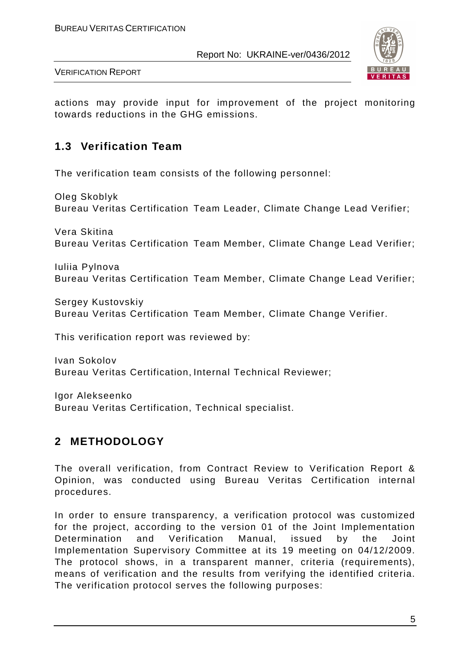

VERIFICATION REPORT

actions may provide input for improvement of the project monitoring towards reductions in the GHG emissions.

## **1.3 Verification Team**

The verification team consists of the following personnel:

Oleg Skoblyk Bureau Veritas Certification Team Leader, Climate Change Lead Verifier;

Vera Skitina Bureau Veritas Certification Team Member, Climate Change Lead Verifier;

Iuliia Pylnova Bureau Veritas Certification Team Member, Climate Change Lead Verifier;

Sergey Kustovskiy Bureau Veritas Certification Team Member, Climate Change Verifier.

This verification report was reviewed by:

Ivan Sokolov Bureau Veritas Certification, Internal Technical Reviewer;

Igor Alekseenko Bureau Veritas Certification, Technical specialist.

# **2 METHODOLOGY**

The overall verification, from Contract Review to Verification Report & Opinion, was conducted using Bureau Veritas Certification internal procedures.

In order to ensure transparency, a verification protocol was customized for the project, according to the version 01 of the Joint Implementation Determination and Verification Manual, issued by the Joint Implementation Supervisory Committee at its 19 meeting on 04/12/2009. The protocol shows, in a transparent manner, criteria (requirements), means of verification and the results from verifying the identified criteria. The verification protocol serves the following purposes: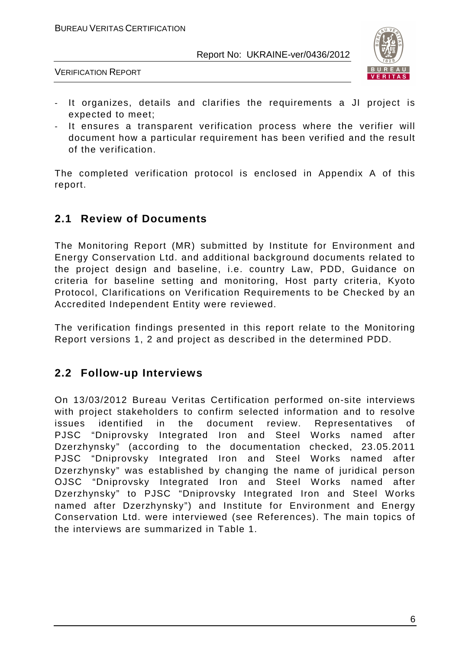

VERIFICATION REPORT

- It organizes, details and clarifies the requirements a JI project is expected to meet;
- It ensures a transparent verification process where the verifier will document how a particular requirement has been verified and the result of the verification.

The completed verification protocol is enclosed in Appendix A of this report.

## **2.1 Review of Documents**

The Monitoring Report (MR) submitted by Institute for Environment and Energy Conservation Ltd. and additional background documents related to the project design and baseline, i.e. country Law, PDD, Guidance on criteria for baseline setting and monitoring, Host party criteria, Kyoto Protocol, Clarifications on Verification Requirements to be Checked by an Accredited Independent Entity were reviewed.

The verification findings presented in this report relate to the Monitoring Report versions 1, 2 and project as described in the determined PDD.

## **2.2 Follow-up Interviews**

On 13/03/2012 Bureau Veritas Certification performed on-site interviews with project stakeholders to confirm selected information and to resolve issues identified in the document review. Representatives of PJSC "Dniprovsky Integrated Iron and Steel Works named after Dzerzhynsky" (according to the documentation checked, 23.05.2011 PJSC "Dniprovsky Integrated Iron and Steel Works named after Dzerzhynsky" was established by changing the name of juridical person OJSC "Dniprovsky Integrated Iron and Steel Works named after Dzerzhynsky" to PJSC "Dniprovsky Integrated Iron and Steel Works named after Dzerzhynsky") and Institute for Environment and Energy Conservation Ltd. were interviewed (see References). The main topics of the interviews are summarized in Table 1.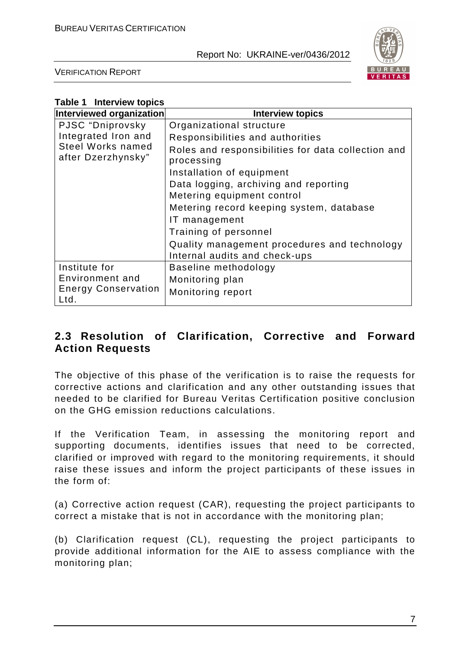

VERIFICATION REPORT

| <b>Table 1 Interview topics</b>         |                                                                  |
|-----------------------------------------|------------------------------------------------------------------|
| Interviewed organization                | <b>Interview topics</b>                                          |
| PJSC "Dniprovsky                        | Organizational structure                                         |
| Integrated Iron and                     | Responsibilities and authorities                                 |
| Steel Works named<br>after Dzerzhynsky" | Roles and responsibilities for data collection and<br>processing |
|                                         | Installation of equipment                                        |
|                                         | Data logging, archiving and reporting                            |
|                                         | Metering equipment control                                       |
|                                         | Metering record keeping system, database                         |
|                                         | IT management                                                    |
|                                         | Training of personnel                                            |
|                                         | Quality management procedures and technology                     |
|                                         | Internal audits and check-ups                                    |
| Institute for                           | Baseline methodology                                             |
| Environment and                         | Monitoring plan                                                  |
| <b>Energy Conservation</b><br>Ltd.      | Monitoring report                                                |

# **2.3 Resolution of Clarification, Corrective and Forward Action Requests**

The objective of this phase of the verification is to raise the requests for corrective actions and clarification and any other outstanding issues that needed to be clarified for Bureau Veritas Certification positive conclusion on the GHG emission reductions calculations.

If the Verification Team, in assessing the monitoring report and supporting documents, identifies issues that need to be corrected, clarified or improved with regard to the monitoring requirements, it should raise these issues and inform the project participants of these issues in the form of:

(a) Corrective action request (CAR), requesting the project participants to correct a mistake that is not in accordance with the monitoring plan;

(b) Clarification request (CL), requesting the project participants to provide additional information for the AIE to assess compliance with the monitoring plan;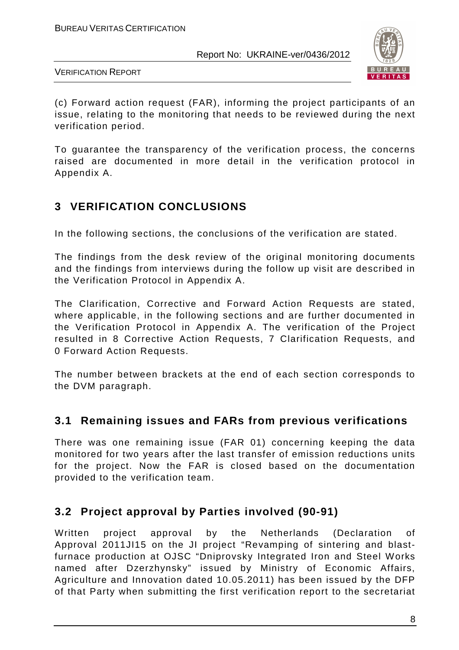

VERIFICATION REPORT

(c) Forward action request (FAR), informing the project participants of an issue, relating to the monitoring that needs to be reviewed during the next verification period.

To guarantee the transparency of the verification process, the concerns raised are documented in more detail in the verification protocol in Appendix A.

# **3 VERIFICATION CONCLUSIONS**

In the following sections, the conclusions of the verification are stated.

The findings from the desk review of the original monitoring documents and the findings from interviews during the follow up visit are described in the Verification Protocol in Appendix A.

The Clarification, Corrective and Forward Action Requests are stated, where applicable, in the following sections and are further documented in the Verification Protocol in Appendix A. The verification of the Project resulted in 8 Corrective Action Requests, 7 Clarification Requests, and 0 Forward Action Requests.

The number between brackets at the end of each section corresponds to the DVM paragraph.

# **3.1 Remaining issues and FARs from previous verifications**

There was one remaining issue (FAR 01) concerning keeping the data monitored for two years after the last transfer of emission reductions units for the project. Now the FAR is closed based on the documentation provided to the verification team.

# **3.2 Project approval by Parties involved (90-91)**

Written project approval by the Netherlands (Declaration of Approval 2011JI15 on the JI project "Revamping of sintering and blastfurnace production at OJSC "Dniprovsky Integrated Iron and Steel Works named after Dzerzhynsky" issued by Ministry of Economic Affairs, Agriculture and Innovation dated 10.05.2011) has been issued by the DFP of that Party when submitting the first verification report to the secretariat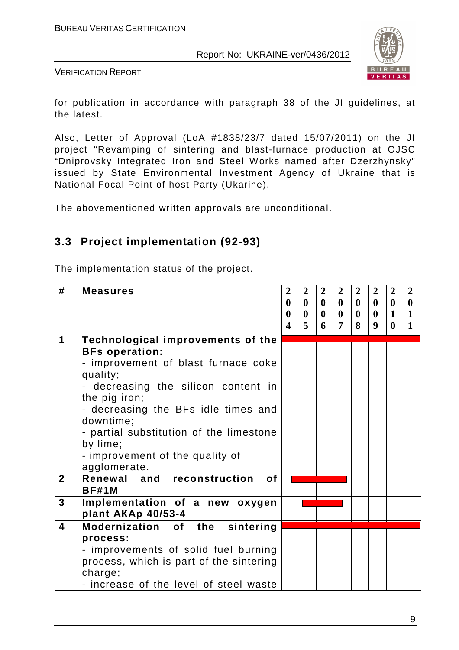

VERIFICATION REPORT

for publication in accordance with paragraph 38 of the JI guidelines, at the latest.

Also, Letter of Approval (LoA #1838/23/7 dated 15/07/2011) on the JI project "Revamping of sintering and blast-furnace production at OJSC "Dniprovsky Integrated Iron and Steel Works named after Dzerzhynsky" issued by State Environmental Investment Agency of Ukraine that is National Focal Point of host Party (Ukarine).

The abovementioned written approvals are unconditional.

## **3.3 Project implementation (92-93)**

The implementation status of the project.

| #                       | <b>Measures</b>                                                                                                                                                                                                                                                                                                                     | $\overline{2}$<br>$\bf{0}$<br>$\bf{0}$<br>$\overline{\mathbf{4}}$ | $\overline{2}$<br>$\mathbf{0}$<br>$\bf{0}$<br>$\overline{5}$ | $\overline{2}$<br>$\mathbf{0}$<br>$\mathbf{0}$<br>6 | $\boldsymbol{2}$<br>$\mathbf{0}$<br>$\mathbf{0}$<br>$\overline{7}$ | $\boldsymbol{2}$<br>$\mathbf{0}$<br>$\mathbf{0}$<br>8 | $\overline{2}$<br>$\mathbf{0}$<br>$\mathbf{0}$<br>$\boldsymbol{9}$ | $\overline{2}$<br>$\mathbf{0}$<br>$\mathbf{1}$<br>$\mathbf{0}$ | $\overline{2}$<br>$\mathbf{0}$<br>1<br>$\mathbf{1}$ |
|-------------------------|-------------------------------------------------------------------------------------------------------------------------------------------------------------------------------------------------------------------------------------------------------------------------------------------------------------------------------------|-------------------------------------------------------------------|--------------------------------------------------------------|-----------------------------------------------------|--------------------------------------------------------------------|-------------------------------------------------------|--------------------------------------------------------------------|----------------------------------------------------------------|-----------------------------------------------------|
| 1                       | Technological improvements of the<br><b>BFs operation:</b><br>- improvement of blast furnace coke<br>quality;<br>- decreasing the silicon content in<br>the pig iron;<br>- decreasing the BFs idle times and<br>downtime;<br>- partial substitution of the limestone<br>by lime;<br>- improvement of the quality of<br>agglomerate. |                                                                   |                                                              |                                                     |                                                                    |                                                       |                                                                    |                                                                |                                                     |
| $\mathbf{2}$            | Renewal and reconstruction<br><b>of</b><br><b>BF#1M</b>                                                                                                                                                                                                                                                                             |                                                                   |                                                              |                                                     |                                                                    |                                                       |                                                                    |                                                                |                                                     |
| $\mathbf{3}$            | Implementation of a new oxygen<br>plant AKAp 40/53-4                                                                                                                                                                                                                                                                                |                                                                   |                                                              |                                                     |                                                                    |                                                       |                                                                    |                                                                |                                                     |
| $\overline{\mathbf{4}}$ | Modernization of the sintering<br>process:<br>- improvements of solid fuel burning<br>process, which is part of the sintering<br>charge;<br>- increase of the level of steel waste                                                                                                                                                  |                                                                   |                                                              |                                                     |                                                                    |                                                       |                                                                    |                                                                |                                                     |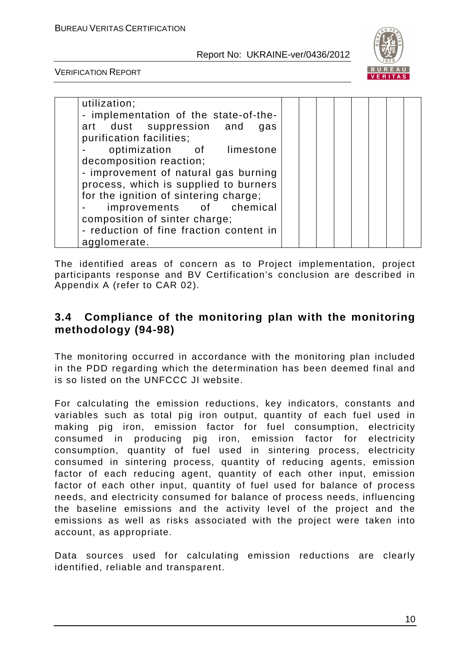

VERIFICATION REPORT

| utilization;                            |  |  |  |  |
|-----------------------------------------|--|--|--|--|
|                                         |  |  |  |  |
| - implementation of the state-of-the-   |  |  |  |  |
| art dust suppression and<br>gas         |  |  |  |  |
| purification facilities;                |  |  |  |  |
| optimization of limestone               |  |  |  |  |
| decomposition reaction;                 |  |  |  |  |
| - improvement of natural gas burning    |  |  |  |  |
| process, which is supplied to burners   |  |  |  |  |
| for the ignition of sintering charge;   |  |  |  |  |
| improvements of chemical                |  |  |  |  |
| composition of sinter charge;           |  |  |  |  |
| - reduction of fine fraction content in |  |  |  |  |
| agglomerate.                            |  |  |  |  |

The identified areas of concern as to Project implementation, project participants response and BV Certification's conclusion are described in Appendix A (refer to CAR 02).

#### **3.4 Compliance of the monitoring plan with the monitoring methodology (94-98)**

The monitoring occurred in accordance with the monitoring plan included in the PDD regarding which the determination has been deemed final and is so listed on the UNFCCC JI website.

For calculating the emission reductions, key indicators, constants and variables such as total pig iron output, quantity of each fuel used in making pig iron, emission factor for fuel consumption, electricity consumed in producing pig iron, emission factor for electricity consumption, quantity of fuel used in sintering process, electricity consumed in sintering process, quantity of reducing agents, emission factor of each reducing agent, quantity of each other input, emission factor of each other input, quantity of fuel used for balance of process needs, and electricity consumed for balance of process needs, influencing the baseline emissions and the activity level of the project and the emissions as well as risks associated with the project were taken into account, as appropriate.

Data sources used for calculating emission reductions are clearly identified, reliable and transparent.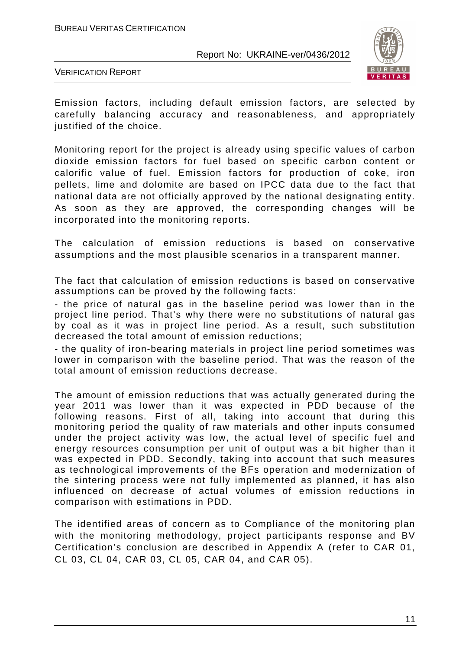

VERIFICATION REPORT

Emission factors, including default emission factors, are selected by carefully balancing accuracy and reasonableness, and appropriately justified of the choice.

Monitoring report for the project is already using specific values of carbon dioxide emission factors for fuel based on specific carbon content or calorific value of fuel. Emission factors for production of coke, iron pellets, lime and dolomite are based on IPCC data due to the fact that national data are not officially approved by the national designating entity. As soon as they are approved, the corresponding changes will be incorporated into the monitoring reports.

The calculation of emission reductions is based on conservative assumptions and the most plausible scenarios in a transparent manner.

The fact that calculation of emission reductions is based on conservative assumptions can be proved by the following facts:

- the price of natural gas in the baseline period was lower than in the project line period. That's why there were no substitutions of natural gas by coal as it was in project line period. As a result, such substitution decreased the total amount of emission reductions;

- the quality of iron-bearing materials in project line period sometimes was lower in comparison with the baseline period. That was the reason of the total amount of emission reductions decrease.

The amount of emission reductions that was actually generated during the year 2011 was lower than it was expected in PDD because of the following reasons. First of all, taking into account that during this monitoring period the quality of raw materials and other inputs consumed under the project activity was low, the actual level of specific fuel and energy resources consumption per unit of output was a bit higher than it was expected in PDD. Secondly, taking into account that such measures as technological improvements of the BFs operation and modernization of the sintering process were not fully implemented as planned, it has also influenced on decrease of actual volumes of emission reductions in comparison with estimations in PDD.

The identified areas of concern as to Compliance of the monitoring plan with the monitoring methodology, project participants response and BV Certification's conclusion are described in Appendix A (refer to CAR 01, CL 03, CL 04, CAR 03, CL 05, CAR 04, and CAR 05).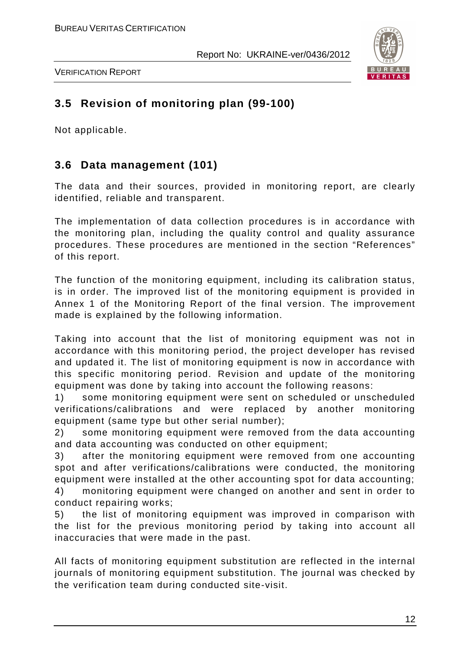

VERIFICATION REPORT

# **3.5 Revision of monitoring plan (99-100)**

Not applicable.

# **3.6 Data management (101)**

The data and their sources, provided in monitoring report, are clearly identified, reliable and transparent.

The implementation of data collection procedures is in accordance with the monitoring plan, including the quality control and quality assurance procedures. These procedures are mentioned in the section "References" of this report.

The function of the monitoring equipment, including its calibration status, is in order. The improved list of the monitoring equipment is provided in Annex 1 of the Monitoring Report of the final version. The improvement made is explained by the following information.

Taking into account that the list of monitoring equipment was not in accordance with this monitoring period, the project developer has revised and updated it. The list of monitoring equipment is now in accordance with this specific monitoring period. Revision and update of the monitoring equipment was done by taking into account the following reasons:

1) some monitoring equipment were sent on scheduled or unscheduled verifications/calibrations and were replaced by another monitoring equipment (same type but other serial number);

2) some monitoring equipment were removed from the data accounting and data accounting was conducted on other equipment;

3) after the monitoring equipment were removed from one accounting spot and after verifications/calibrations were conducted, the monitoring equipment were installed at the other accounting spot for data accounting;

4) monitoring equipment were changed on another and sent in order to conduct repairing works;

5) the list of monitoring equipment was improved in comparison with the list for the previous monitoring period by taking into account all inaccuracies that were made in the past.

All facts of monitoring equipment substitution are reflected in the internal journals of monitoring equipment substitution. The journal was checked by the verification team during conducted site-visit.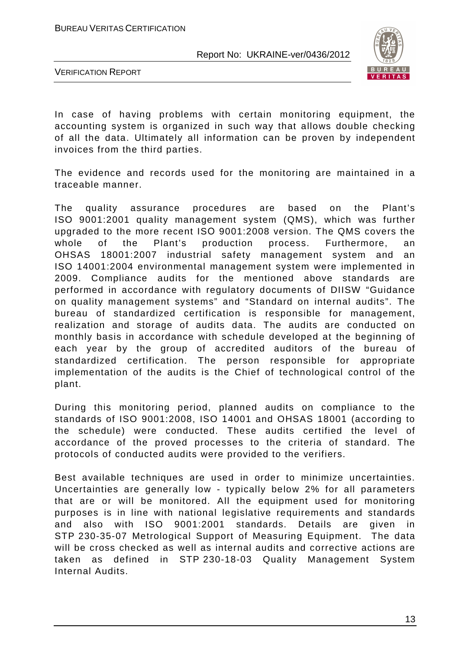

VERIFICATION REPORT

In case of having problems with certain monitoring equipment, the accounting system is organized in such way that allows double checking of all the data. Ultimately all information can be proven by independent invoices from the third parties.

The evidence and records used for the monitoring are maintained in a traceable manner.

The quality assurance procedures are based on the Plant's ISO 9001:2001 quality management system (QMS), which was further upgraded to the more recent ISО 9001:2008 version. The QMS covers the whole of the Plant's production process. Furthermore, an OHSAS 18001:2007 industrial safety management system and an ISO 14001:2004 environmental management system were implemented in 2009. Compliance audits for the mentioned above standards are performed in accordance with regulatory documents of DIISW "Guidance on quality management systems" and "Standard on internal audits". The bureau of standardized certification is responsible for management, realization and storage of audits data. The audits are conducted on monthly basis in accordance with schedule developed at the beginning of each year by the group of accredited auditors of the bureau of standardized certification. The person responsible for appropriate implementation of the audits is the Chief of technological control of the plant.

During this monitoring period, planned audits on compliance to the standards of ISO 9001:2008, ISO 14001 and OHSAS 18001 (according to the schedule) were conducted. These audits certified the level of accordance of the proved processes to the criteria of standard. The protocols of conducted audits were provided to the verifiers.

Best available techniques are used in order to minimize uncertainties. Uncertainties are generally low - typically below 2% for all parameters that are or will be monitored. All the equipment used for monitoring purposes is in line with national legislative requirements and standards and also with ISO 9001:2001 standards. Details are given in STP 230-35-07 Metrological Support of Measuring Equipment. The data will be cross checked as well as internal audits and corrective actions are taken as defined in STP 230-18-03 Quality Management System Internal Audits.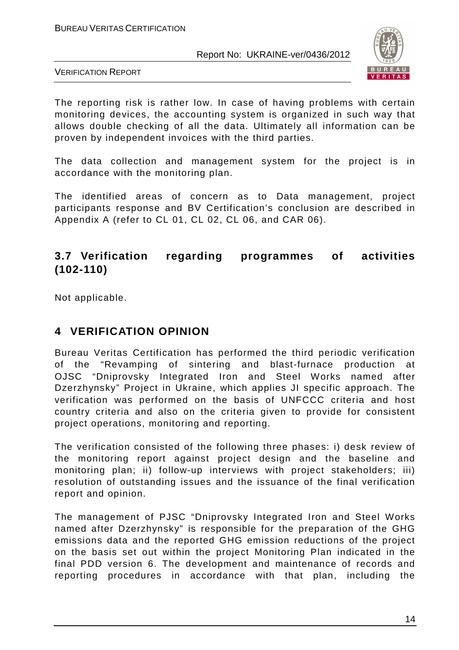

VERIFICATION REPORT

The reporting risk is rather low. In case of having problems with certain monitoring devices, the accounting system is organized in such way that allows double checking of all the data. Ultimately all information can be proven by independent invoices with the third parties.

The data collection and management system for the project is in accordance with the monitoring plan.

The identified areas of concern as to Data management, project participants response and BV Certification's conclusion are described in Appendix A (refer to CL 01, CL 02, CL 06, and CAR 06).

# **3.7 Verification regarding programmes of activities (102-110)**

Not applicable.

# **4 VERIFICATION OPINION**

Bureau Veritas Certification has performed the third periodic verification of the "Revamping of sintering and blast-furnace production at OJSC "Dniprovsky Integrated Iron and Steel Works named after Dzerzhynsky" Project in Ukraine, which applies JI specific approach. The verification was performed on the basis of UNFCCC criteria and host country criteria and also on the criteria given to provide for consistent project operations, monitoring and reporting.

The verification consisted of the following three phases: i) desk review of the monitoring report against project design and the baseline and monitoring plan; ii) follow-up interviews with project stakeholders; iii) resolution of outstanding issues and the issuance of the final verification report and opinion.

The management of PJSC "Dniprovsky Integrated Iron and Steel Works named after Dzerzhynsky" is responsible for the preparation of the GHG emissions data and the reported GHG emission reductions of the project on the basis set out within the project Monitoring Plan indicated in the final PDD version 6. The development and maintenance of records and reporting procedures in accordance with that plan, including the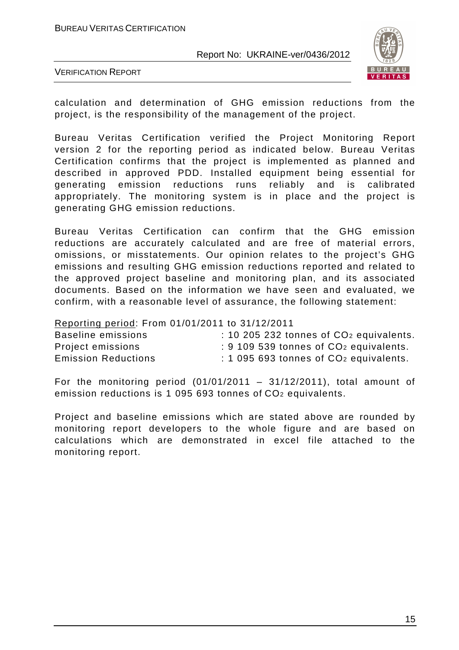

VERIFICATION REPORT

calculation and determination of GHG emission reductions from the project, is the responsibility of the management of the project.

Bureau Veritas Certification verified the Project Monitoring Report version 2 for the reporting period as indicated below. Bureau Veritas Certification confirms that the project is implemented as planned and described in approved PDD. Installed equipment being essential for generating emission reductions runs reliably and is calibrated appropriately. The monitoring system is in place and the project is generating GHG emission reductions.

Bureau Veritas Certification can confirm that the GHG emission reductions are accurately calculated and are free of material errors, omissions, or misstatements. Our opinion relates to the project's GHG emissions and resulting GHG emission reductions reported and related to the approved project baseline and monitoring plan, and its associated documents. Based on the information we have seen and evaluated, we confirm, with a reasonable level of assurance, the following statement:

Reporting period: From 01/01/2011 to 31/12/2011

| Baseline emissions         | $: 10205232$ tonnes of $CO2$ equivalents.     |
|----------------------------|-----------------------------------------------|
| Project emissions          | $\div$ 9 109 539 tonnes of $CO2$ equivalents. |
| <b>Emission Reductions</b> | $: 1095693$ tonnes of $CO2$ equivalents.      |

For the monitoring period  $(01/01/2011 - 31/12/2011)$ , total amount of emission reductions is 1 095 693 tonnes of CO<sub>2</sub> equivalents.

Project and baseline emissions which are stated above are rounded by monitoring report developers to the whole figure and are based on calculations which are demonstrated in excel file attached to the monitoring report.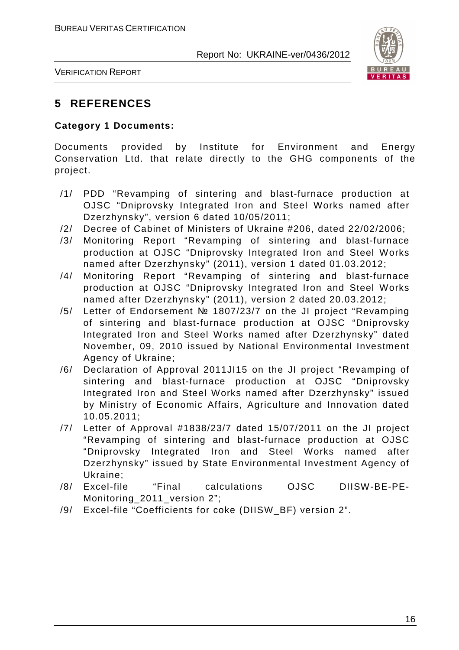

VERIFICATION REPORT

## **5 REFERENCES**

#### **Category 1 Documents:**

Documents provided by Institute for Environment and Energy Conservation Ltd. that relate directly to the GHG components of the project.

- /1/ PDD "Revamping of sintering and blast-furnace production at OJSC "Dniprovsky Integrated Iron and Steel Works named after Dzerzhynsky", version 6 dated 10/05/2011;
- /2/ Decree of Cabinet of Ministers of Ukraine #206, dated 22/02/2006;
- /3/ Monitoring Report "Revamping of sintering and blast-furnace production at OJSC "Dniprovsky Integrated Iron and Steel Works named after Dzerzhynsky" (2011), version 1 dated 01.03.2012;
- /4/ Monitoring Report "Revamping of sintering and blast-furnace production at OJSC "Dniprovsky Integrated Iron and Steel Works named after Dzerzhynsky" (2011), version 2 dated 20.03.2012;
- /5/ Letter of Endorsement № 1807/23/7 on the JI project "Revamping of sintering and blast-furnace production at OJSC "Dniprovsky Integrated Iron and Steel Works named after Dzerzhynsky" dated November, 09, 2010 issued by National Environmental Investment Agency of Ukraine;
- /6/ Declaration of Approval 2011JI15 on the JI project "Revamping of sintering and blast-furnace production at OJSC "Dniprovsky Integrated Iron and Steel Works named after Dzerzhynsky" issued by Ministry of Economic Affairs, Agriculture and Innovation dated 10.05.2011;
- /7/ Letter of Approval #1838/23/7 dated 15/07/2011 on the JI project "Revamping of sintering and blast-furnace production at OJSC "Dniprovsky Integrated Iron and Steel Works named after Dzerzhynsky" issued by State Environmental Investment Agency of Ukraine;
- /8/ Excel-file "Final calculations OJSC DIISW-BE-PE-Monitoring\_2011\_version 2";
- /9/ Excel-file "Coefficients for coke (DIISW\_BF) version 2".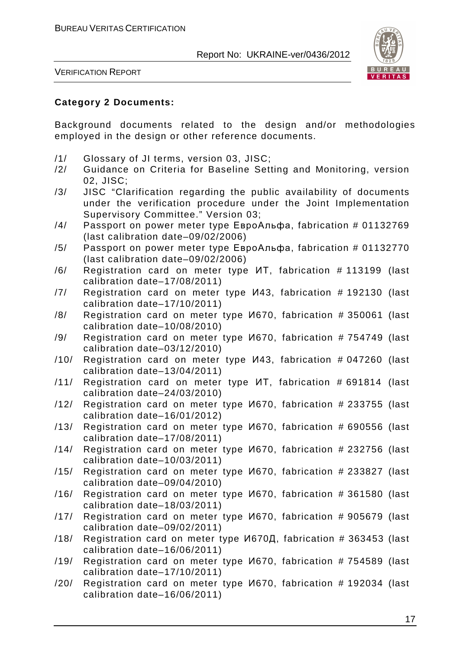

VERIFICATION REPORT

#### **Category 2 Documents:**

Background documents related to the design and/or methodologies employed in the design or other reference documents.

- /1/ Glossary of JI terms, version 03, JISC;
- /2/ Guidance on Criteria for Baseline Setting and Monitoring, version 02, JISC;
- /3/ JISC "Clarification regarding the public availability of documents under the verification procedure under the Joint Implementation Supervisory Committee." Version 03;
- /4/ Passport on power meter type ЕвроАльфа, fabrication # 01132769 (last calibration date–09/02/2006)
- /5/ Passport on power meter type ЕвроАльфа, fabrication # 01132770 (last calibration date–09/02/2006)
- /6/ Registration card on meter type ИТ, fabrication # 113199 (last calibration date–17/08/2011)
- /7/ Registration card on meter type И43, fabrication # 192130 (last calibration date–17/10/2011)
- /8/ Registration card on meter type И670, fabrication # 350061 (last calibration date–10/08/2010)
- /9/ Registration card on meter type И670, fabrication # 754749 (last calibration date–03/12/2010)
- /10/ Registration card on meter type И43, fabrication # 047260 (last calibration date–13/04/2011)
- /11/ Registration card on meter type ИТ, fabrication # 691814 (last calibration date–24/03/2010)
- /12/ Registration card on meter type И670, fabrication # 233755 (last calibration date–16/01/2012)
- /13/ Registration card on meter type И670, fabrication # 690556 (last calibration date–17/08/2011)
- /14/ Registration card on meter type И670, fabrication # 232756 (last calibration date–10/03/2011)
- /15/ Registration card on meter type И670, fabrication # 233827 (last calibration date–09/04/2010)
- /16/ Registration card on meter type И670, fabrication # 361580 (last calibration date–18/03/2011)
- /17/ Registration card on meter type И670, fabrication # 905679 (last calibration date–09/02/2011)
- /18/ Registration card on meter type И670Д, fabrication # 363453 (last calibration date–16/06/2011)
- /19/ Registration card on meter type И670, fabrication # 754589 (last calibration date–17/10/2011)
- /20/ Registration card on meter type И670, fabrication # 192034 (last calibration date–16/06/2011)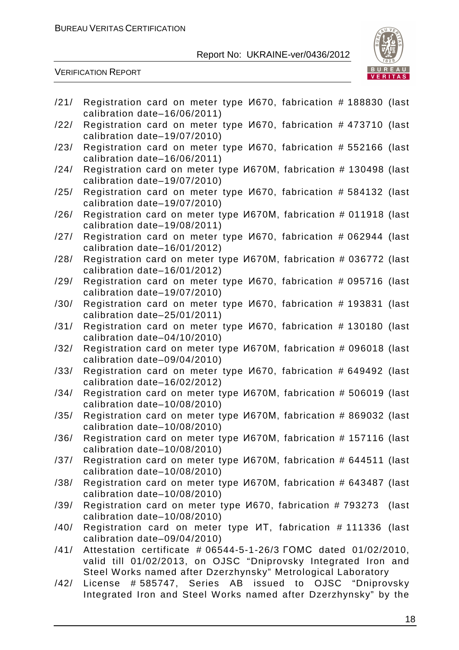

VERIFICATION REPORT

| /21/ | Registration card on meter type <i>V</i> 670, fabrication # 188830 (last<br>calibration date-16/06/2011)                                                                                    |
|------|---------------------------------------------------------------------------------------------------------------------------------------------------------------------------------------------|
| /22/ | Registration card on meter type <i>V</i> 670, fabrication #473710 (last<br>calibration date-19/07/2010)                                                                                     |
| /23/ | Registration card on meter type <i>V</i> 670, fabrication # 552166 (last<br>calibration date-16/06/2011)                                                                                    |
| /24/ | Registration card on meter type <i>V</i> 670M, fabrication # 130498 (last<br>calibration date-19/07/2010)                                                                                   |
| /25/ | Registration card on meter type <i>V</i> 670, fabrication # 584132 (last<br>calibration date-19/07/2010)                                                                                    |
| /26/ | Registration card on meter type <i>V</i> 670M, fabrication # 011918 (last                                                                                                                   |
| /27/ | calibration date-19/08/2011)<br>Registration card on meter type <i>V</i> 670, fabrication # 062944 (last                                                                                    |
| /28/ | calibration date-16/01/2012)<br>Registration card on meter type <i>M670M</i> , fabrication # 036772 (last                                                                                   |
| /29/ | calibration date-16/01/2012)<br>Registration card on meter type <i>V</i> 670, fabrication # 095716 (last                                                                                    |
| /30/ | calibration date-19/07/2010)<br>Registration card on meter type <i>V</i> 670, fabrication # 193831 (last                                                                                    |
| /31/ | calibration date-25/01/2011)<br>Registration card on meter type <i>V</i> 670, fabrication # 130180 (last                                                                                    |
| /32/ | calibration date-04/10/2010)<br>Registration card on meter type <i>M670M</i> , fabrication # 096018 (last                                                                                   |
| /33/ | calibration date-09/04/2010)<br>Registration card on meter type <i>V</i> 670, fabrication # 649492 (last                                                                                    |
| /34/ | calibration date-16/02/2012)<br>Registration card on meter type <i>M670M</i> , fabrication # 506019 (last                                                                                   |
| /35/ | calibration date-10/08/2010)<br>Registration card on meter type <i>M670M</i> , fabrication # 869032 (last                                                                                   |
| /36/ | calibration date-10/08/2010)<br>Registration card on meter type <i>V</i> 670M, fabrication # 157116 (last                                                                                   |
| /37/ | calibration date-10/08/2010)<br>Registration card on meter type <i>V</i> 670M, fabrication # 644511 (last                                                                                   |
| /38/ | calibration date-10/08/2010)<br>Registration card on meter type <i>M670M</i> , fabrication # 643487 (last                                                                                   |
| /39/ | calibration date-10/08/2010)<br>Registration card on meter type <i>V</i> 670, fabrication #793273<br>(last                                                                                  |
| /40/ | calibration date-10/08/2010)<br>Registration card on meter type <i>MT</i> , fabrication #111336 (last                                                                                       |
| /41/ | calibration date-09/04/2010)<br>Attestation certificate # 06544-5-1-26/3 FOMC dated 01/02/2010,<br>valid till 01/02/2013, on OJSC "Dniprovsky Integrated Iron and                           |
| /42/ | Steel Works named after Dzerzhynsky" Metrological Laboratory<br>#585747, Series AB issued to OJSC "Dniprovsky<br>License<br>Integrated Iron and Steel Works named after Dzerzhynsky" by the |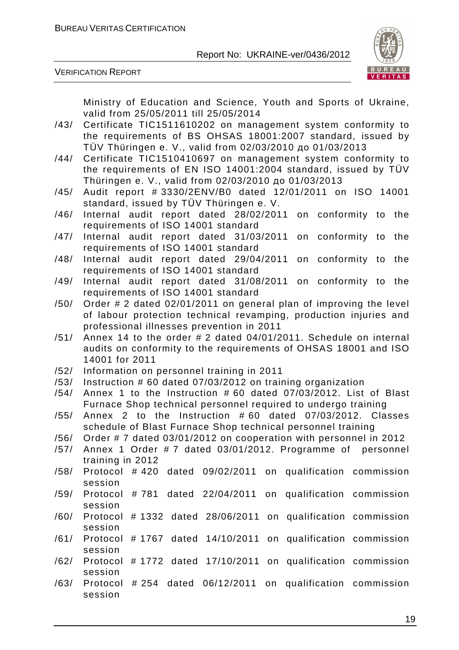

VERIFICATION REPORT

Ministry of Education and Science, Youth and Sports of Ukraine, valid from 25/05/2011 till 25/05/2014

- /43/ Certificate TIC1511610202 on management system conformity to the requirements of BS OHSAS 18001:2007 standard, issued by TÜV Thüringen e. V., valid from 02/03/2010 до 01/03/2013
- /44/ Certificate TIC1510410697 on management system conformity to the requirements of EN ISO 14001:2004 standard, issued by TÜV Thüringen e. V., valid from 02/03/2010 до 01/03/2013
- /45/ Audit report # 3330/2ENV/B0 dated 12/01/2011 on ISO 14001 standard, issued by TÜV Thüringen e. V.
- /46/ Internal audit report dated 28/02/2011 on conformity to the requirements of ISO 14001 standard
- /47/ Internal audit report dated 31/03/2011 on conformity to the requirements of ISO 14001 standard
- /48/ Internal audit report dated 29/04/2011 on conformity to the requirements of ISO 14001 standard
- /49/ Internal audit report dated 31/08/2011 on conformity to the requirements of ISO 14001 standard
- /50/ Order # 2 dated 02/01/2011 on general plan of improving the level of labour protection technical revamping, production injuries and professional illnesses prevention in 2011
- $/51/$  Annex 14 to the order # 2 dated 04/01/2011. Schedule on internal audits on conformity to the requirements of OHSAS 18001 and ISO 14001 for 2011
- /52/ Information on personnel training in 2011
- /53/ Instruction # 60 dated 07/03/2012 on training organization
- /54/ Annex 1 to the Instruction # 60 dated 07/03/2012. List of Blast Furnace Shop technical personnel required to undergo training
- /55/ Annex 2 to the Instruction # 60 dated 07/03/2012. Classes schedule of Blast Furnace Shop technical personnel training
- /56/ Order # 7 dated 03/01/2012 on cooperation with personnel in 2012
- /57/ Annex 1 Order # 7 dated 03/01/2012. Programme of personnel training in 2012
- /58/ Protocol # 420 dated 09/02/2011 on qualification commission session
- /59/ Protocol # 781 dated 22/04/2011 on qualification commission session
- /60/ Protocol # 1332 dated 28/06/2011 on qualification commission session
- /61/ Protocol # 1767 dated 14/10/2011 on qualification commission session
- /62/ Protocol # 1772 dated 17/10/2011 on qualification commission session
- /63/ Protocol # 254 dated 06/12/2011 on qualification commission session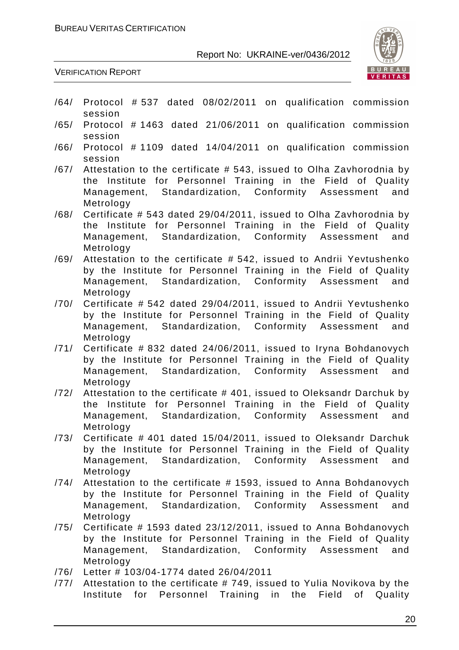

VERIFICATION REPORT

- /64/ Protocol # 537 dated 08/02/2011 on qualification commission session
- /65/ Protocol # 1463 dated 21/06/2011 on qualification commission session
- /66/ Protocol # 1109 dated 14/04/2011 on qualification commission session
- /67/ Attestation to the certificate # 543, issued to Olha Zavhorodnia by the Institute for Personnel Training in the Field of Quality Management, Standardization, Conformity Assessment and Metrology
- /68/ Certificate # 543 dated 29/04/2011, issued to Olha Zavhorodnia by the Institute for Personnel Training in the Field of Quality Management, Standardization, Conformity Assessment and Metrology
- /69/ Attestation to the certificate # 542, issued to Andrii Yevtushenko by the Institute for Personnel Training in the Field of Quality Management, Standardization, Conformity Assessment and Metrology
- /70/ Certificate # 542 dated 29/04/2011, issued to Andrii Yevtushenko by the Institute for Personnel Training in the Field of Quality Management, Standardization, Conformity Assessment and Metrology
- /71/ Certificate # 832 dated 24/06/2011, issued to Iryna Bohdanovych by the Institute for Personnel Training in the Field of Quality Management, Standardization, Conformity Assessment and Metrology
- /72/ Attestation to the certificate # 401, issued to Oleksandr Darchuk by the Institute for Personnel Training in the Field of Quality Management, Standardization, Conformity Assessment and Metrology
- /73/ Certificate # 401 dated 15/04/2011, issued to Oleksandr Darchuk by the Institute for Personnel Training in the Field of Quality Management, Standardization, Conformity Assessment and Metrology
- /74/ Attestation to the certificate # 1593, issued to Anna Bohdanovych by the Institute for Personnel Training in the Field of Quality Management, Standardization, Conformity Assessment and Metrology
- /75/ Certificate # 1593 dated 23/12/2011, issued to Anna Bohdanovych by the Institute for Personnel Training in the Field of Quality Management, Standardization, Conformity Assessment and Metrology
- /76/ Letter # 103/04-1774 dated 26/04/2011
- /77/ Attestation to the certificate # 749, issued to Yulia Novikova by the Institute for Personnel Training in the Field of Quality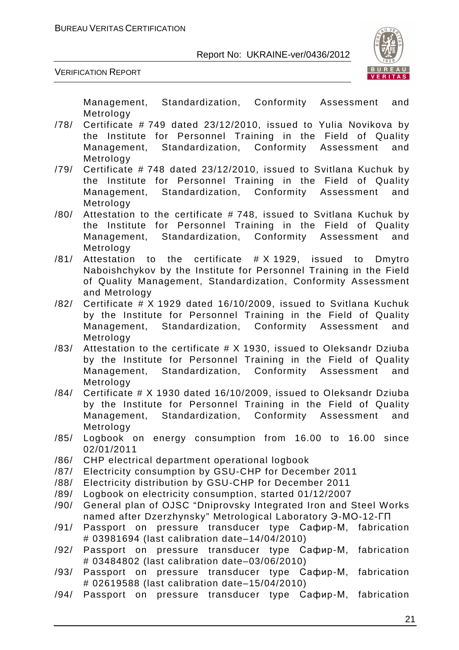

VERIFICATION REPORT

Management, Standardization, Conformity Assessment and Metrology

- /78/ Certificate # 749 dated 23/12/2010, issued to Yulia Novikova by the Institute for Personnel Training in the Field of Quality Management, Standardization, Conformity Assessment and Metrology
- /79/ Certificate # 748 dated 23/12/2010, issued to Svitlana Kuchuk by the Institute for Personnel Training in the Field of Quality Management, Standardization, Conformity Assessment and Metrology
- /80/ Attestation to the certificate # 748, issued to Svitlana Kuchuk by the Institute for Personnel Training in the Field of Quality Management, Standardization, Conformity Assessment and Metrology
- /81/ Attestation to the certificate # X 1929, issued to Dmytro Naboishchykov by the Institute for Personnel Training in the Field of Quality Management, Standardization, Conformity Assessment and Metrology
- /82/ Certificate # X 1929 dated 16/10/2009, issued to Svitlana Kuchuk by the Institute for Personnel Training in the Field of Quality Management, Standardization, Conformity Assessment and Metrology
- /83/ Attestation to the certificate # X 1930, issued to Oleksandr Dziuba by the Institute for Personnel Training in the Field of Quality Management, Standardization, Conformity Assessment and Metrology
- /84/ Certificate # X 1930 dated 16/10/2009, issued to Oleksandr Dziuba by the Institute for Personnel Training in the Field of Quality Management, Standardization, Conformity Assessment and Metrology
- /85/ Logbook on energy consumption from 16.00 to 16.00 since 02/01/2011
- /86/ CHP electrical department operational logbook
- /87/ Electricity consumption by GSU-CHP for December 2011
- /88/ Electricity distribution by GSU-CHP for December 2011
- /89/ Logbook on electricity consumption, started 01/12/2007
- /90/ General plan of OJSC "Dniprovsky Integrated Iron and Steel Works named after Dzerzhynsky" Metrological Laboratory Э-МО-12-ГП
- /91/ Passport on pressure transducer type Сафир-М, fabrication # 03981694 (last calibration date–14/04/2010)
- /92/ Passport on pressure transducer type Сафир-М, fabrication # 03484802 (last calibration date–03/06/2010)
- /93/ Passport on pressure transducer type Сафир-М, fabrication # 02619588 (last calibration date–15/04/2010)
- /94/ Passport on pressure transducer type Сафир-М, fabrication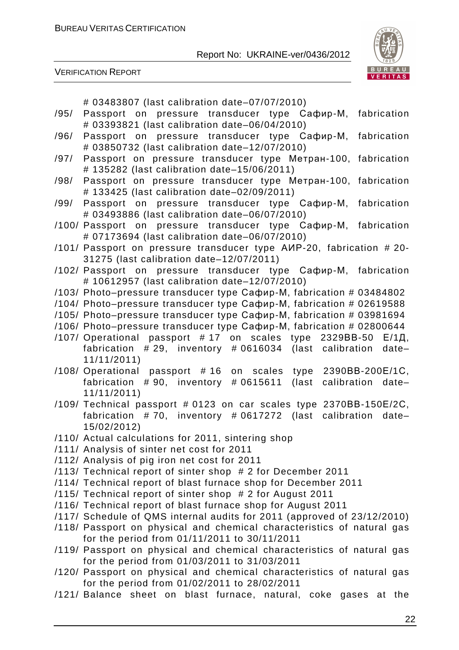

VERIFICATION REPORT

# 03483807 (last calibration date–07/07/2010)

- /95/ Passport on pressure transducer type Сафир-М, fabrication # 03393821 (last calibration date–06/04/2010)
- /96/ Passport on pressure transducer type Сафир-М, fabrication # 03850732 (last calibration date–12/07/2010)
- /97/ Passport on pressure transducer type Метран-100, fabrication # 135282 (last calibration date–15/06/2011)
- /98/ Passport on pressure transducer type Метран-100, fabrication # 133425 (last calibration date–02/09/2011)
- /99/ Passport on pressure transducer type Сафир-М, fabrication # 03493886 (last calibration date–06/07/2010)
- /100/ Passport on pressure transducer type Сафир-М, fabrication # 07173694 (last calibration date–06/07/2010)
- /101/ Passport on pressure transducer type АИР-20, fabrication # 20- 31275 (last calibration date–12/07/2011)
- /102/ Passport on pressure transducer type Сафир-М, fabrication # 10612957 (last calibration date–12/07/2010)
- /103/ Photo–pressure transducer type Сафир-М, fabrication # 03484802
- /104/ Photo–pressure transducer type Сафир-М, fabrication # 02619588
- /105/ Photo–pressure transducer type Сафир-М, fabrication # 03981694
- /106/ Photo–pressure transducer type Сафир-М, fabrication # 02800644
- /107/ Operational passport # 17 on scales type 2329ВВ-50 Е/1Д, fabrication # 29, inventory # 0616034 (last calibration date– 11/11/2011)
- /108/ Operational passport # 16 on scales type 2390ВВ-200Е/1С, fabrication # 90, inventory # 0615611 (last calibration date– 11/11/2011)
- /109/ Technical passport # 0123 on car scales type 2370ВВ-150Е/2С, fabrication # 70, inventory # 0617272 (last calibration date– 15/02/2012)
- /110/ Actual calculations for 2011, sintering shop
- /111/ Analysis of sinter net cost for 2011
- /112/ Analysis of pig iron net cost for 2011
- /113/ Technical report of sinter shop # 2 for December 2011
- /114/ Technical report of blast furnace shop for December 2011
- /115/ Technical report of sinter shop # 2 for August 2011
- /116/ Technical report of blast furnace shop for August 2011
- /117/ Schedule of QMS internal audits for 2011 (approved of 23/12/2010)
- /118/ Passport on physical and chemical characteristics of natural gas for the period from 01/11/2011 to 30/11/2011
- /119/ Passport on physical and chemical characteristics of natural gas for the period from 01/03/2011 to 31/03/2011
- /120/ Passport on physical and chemical characteristics of natural gas for the period from 01/02/2011 to 28/02/2011
- /121/ Balance sheet on blast furnace, natural, coke gases at the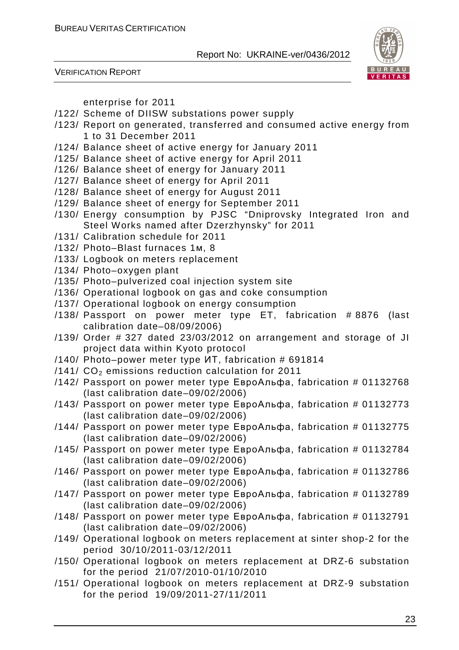



enterprise for 2011

- /122/ Scheme of DIISW substations power supply
- /123/ Report on generated, transferred and consumed active energy from 1 to 31 December 2011
- /124/ Balance sheet of active energy for January 2011
- /125/ Balance sheet of active energy for April 2011
- /126/ Balance sheet of energy for January 2011
- /127/ Balance sheet of energy for April 2011
- /128/ Balance sheet of energy for August 2011
- /129/ Balance sheet of energy for September 2011
- /130/ Energy consumption by PJSC "Dniprovsky Integrated Iron and Steel Works named after Dzerzhynsky" for 2011
- /131/ Calibration schedule for 2011
- /132/ Photo–Blast furnaces 1м, 8
- /133/ Logbook on meters replacement
- /134/ Photo–oxygen plant
- /135/ Photo–pulverized coal injection system site
- /136/ Operational logbook on gas and coke consumption
- /137/ Operational logbook on energy consumption
- /138/ Passport on power meter type ET, fabrication # 8876 (last calibration date–08/09/2006)
- /139/ Order # 327 dated 23/03/2012 on arrangement and storage of JI project data within Kyoto protocol
- /140/ Photo–power meter type ИТ, fabrication # 691814
- /141/ $CO<sub>2</sub>$  emissions reduction calculation for 2011
- /142/ Passport on power meter type ЕвроАльфа, fabrication # 01132768 (last calibration date–09/02/2006)
- /143/ Passport on power meter type ЕвроАльфа, fabrication # 01132773 (last calibration date–09/02/2006)
- /144/ Passport on power meter type ЕвроАльфа, fabrication # 01132775 (last calibration date–09/02/2006)
- /145/ Passport on power meter type ЕвроАльфа, fabrication # 01132784 (last calibration date–09/02/2006)
- /146/ Passport on power meter type ЕвроАльфа, fabrication # 01132786 (last calibration date–09/02/2006)
- /147/ Passport on power meter type ЕвроАльфа, fabrication # 01132789 (last calibration date–09/02/2006)
- /148/ Passport on power meter type ЕвроАльфа, fabrication # 01132791 (last calibration date–09/02/2006)
- /149/ Operational logbook on meters replacement at sinter shop-2 for the period 30/10/2011-03/12/2011
- /150/ Operational logbook on meters replacement at DRZ-6 substation for the period 21/07/2010-01/10/2010
- /151/ Operational logbook on meters replacement at DRZ-9 substation for the period 19/09/2011-27/11/2011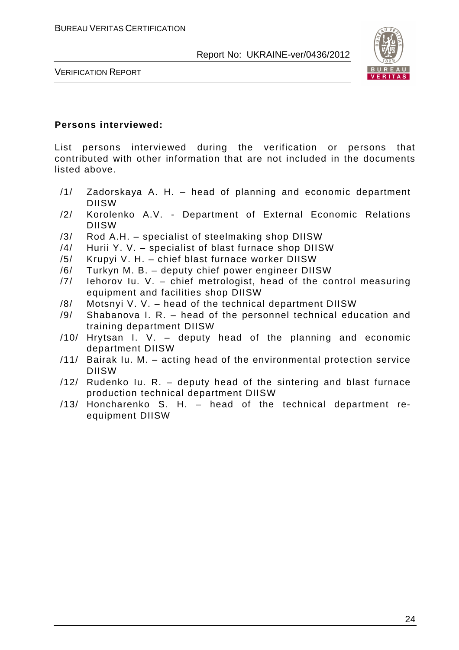

VERIFICATION REPORT

#### **Persons interviewed:**

List persons interviewed during the verification or persons that contributed with other information that are not included in the documents listed above.

- /1/ Zadorskaya A. H. head of planning and economic department DIISW
- /2/ Korolenko A.V. Department of External Economic Relations DIISW
- /3/ Rod A.H. specialist of steelmaking shop DIISW
- /4/ Hurii Y. V. specialist of blast furnace shop DIISW
- /5/ Krupyi V. H. chief blast furnace worker DIISW
- /6/ Turkyn M. B. deputy chief power engineer DIISW
- /7/ Iehorov Iu. V. chief metrologist, head of the control measuring equipment and facilities shop DIISW
- /8/ Motsnyi V. V. head of the technical department DIISW
- /9/ Shabanova I. R. head of the personnel technical education and training department DIISW
- /10/ Hrytsan I. V. deputy head of the planning and economic department DIISW
- /11/ Bairak Iu. M. acting head of the environmental protection service DIISW
- /12/ Rudenko Iu. R. deputy head of the sintering and blast furnace production technical department DIISW
- /13/ Honcharenko S. H. head of the technical department reequipment DIISW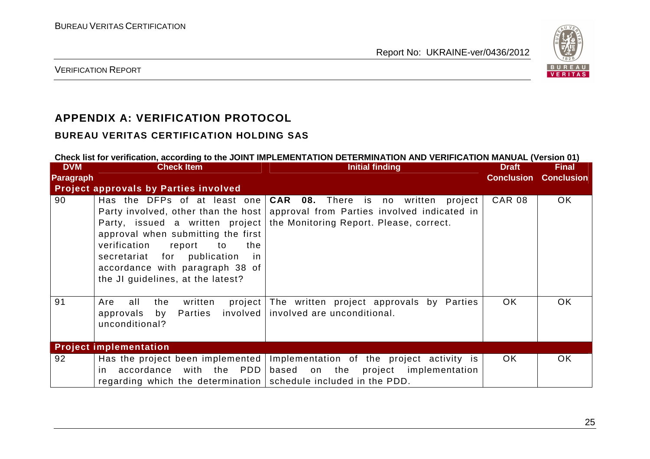

VERIFICATION REPORT

# **APPENDIX A: VERIFICATION PROTOCOL**

#### **BUREAU VERITAS CERTIFICATION HOLDING SAS**

regarding which the determination

#### **Check list for verification, according to the JOINT IMPLEMENTATION DETERMINATION AND VERIFICATION MANUAL (Version 01) DVM Paragraph Project approvals by Parties involved Check Item Initial finding Draft ConclusionConclusionFinal** 90 Has the DFPs of at least one Party involved, other than the host Party, issued a written project approval when submitting the first verification report to the secretariat for publication in accordance with paragraph 38 of the JI guidelines, at the latest? **CAR 08.** There is no written project approval from Parties involved indicated in the Monitoring Report. Please, correct. CAR 08 OK 91 Are all the written project The written project approvals by Parties approvals by Parties unconditional? involved involved are unconditional. OK OK **Project implementation** 92 Has the project been implemented Implementation of the project activity is in accordance with the PDD based on the project implementation OK OK

schedule included in the PDD.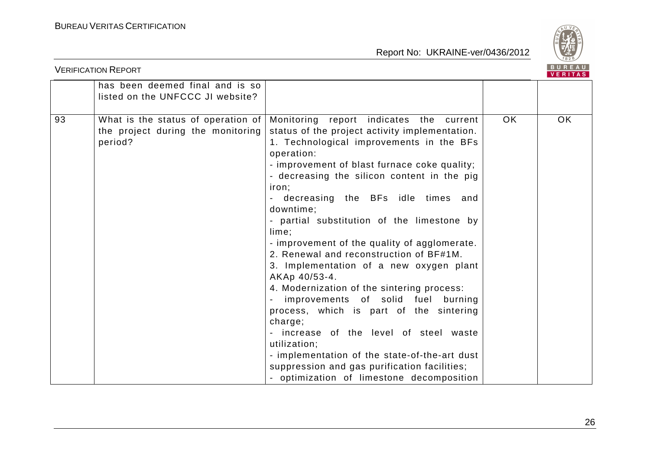

| BUREAU<br><b>VERIFICATION REPORT</b><br>VERITAS |                                                                                    |                                                                                                                                                                                                                                                                                                                                                                                                                                                                                                                                                                                                                                                                                                                                                                                                                                                                                    |     |     |  |  |
|-------------------------------------------------|------------------------------------------------------------------------------------|------------------------------------------------------------------------------------------------------------------------------------------------------------------------------------------------------------------------------------------------------------------------------------------------------------------------------------------------------------------------------------------------------------------------------------------------------------------------------------------------------------------------------------------------------------------------------------------------------------------------------------------------------------------------------------------------------------------------------------------------------------------------------------------------------------------------------------------------------------------------------------|-----|-----|--|--|
|                                                 | has been deemed final and is so<br>listed on the UNFCCC JI website?                |                                                                                                                                                                                                                                                                                                                                                                                                                                                                                                                                                                                                                                                                                                                                                                                                                                                                                    |     |     |  |  |
| 93                                              | What is the status of operation of<br>the project during the monitoring<br>period? | Monitoring report indicates the current<br>status of the project activity implementation.<br>1. Technological improvements in the BFs<br>operation:<br>- improvement of blast furnace coke quality;<br>- decreasing the silicon content in the pig<br>iron;<br>- decreasing the BFs idle times and<br>downtime;<br>- partial substitution of the limestone by<br>lime;<br>- improvement of the quality of agglomerate.<br>2. Renewal and reconstruction of BF#1M.<br>3. Implementation of a new oxygen plant<br>AKAp 40/53-4.<br>4. Modernization of the sintering process:<br>improvements of solid fuel<br>burning<br>process, which is part of the sintering<br>charge;<br>- increase of the level of steel waste<br>utilization;<br>- implementation of the state-of-the-art dust<br>suppression and gas purification facilities;<br>- optimization of limestone decomposition | OK. | OK. |  |  |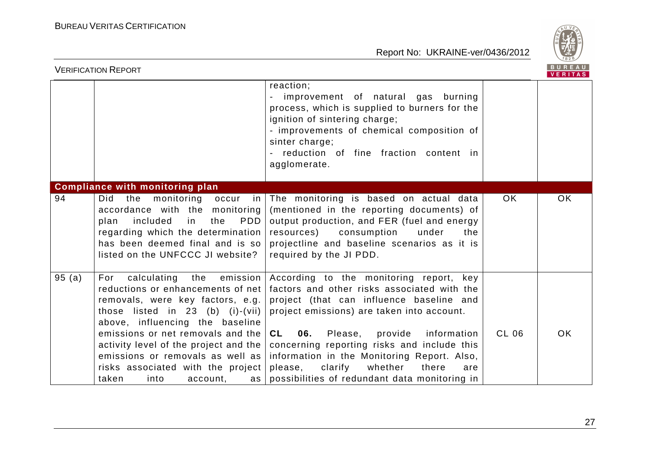

|       | <b>VERIFICATION REPORT</b>                                                                                                                                                                                                                                                                                                                                                   |                                                                                                                                                                                                                                                                                                                                                                                                                                        |       | BUREAU<br><b>VERITAS</b> |
|-------|------------------------------------------------------------------------------------------------------------------------------------------------------------------------------------------------------------------------------------------------------------------------------------------------------------------------------------------------------------------------------|----------------------------------------------------------------------------------------------------------------------------------------------------------------------------------------------------------------------------------------------------------------------------------------------------------------------------------------------------------------------------------------------------------------------------------------|-------|--------------------------|
|       |                                                                                                                                                                                                                                                                                                                                                                              | reaction;<br>improvement of natural gas burning<br>process, which is supplied to burners for the<br>ignition of sintering charge;<br>- improvements of chemical composition of<br>sinter charge;<br>reduction of fine fraction content in<br>agglomerate.                                                                                                                                                                              |       |                          |
|       | <b>Compliance with monitoring plan</b>                                                                                                                                                                                                                                                                                                                                       |                                                                                                                                                                                                                                                                                                                                                                                                                                        |       |                          |
| 94    | Did the<br>monitoring<br>occur<br>in<br>accordance with the monitoring<br><b>PDD</b><br>plan included<br>in<br>the<br>regarding which the determination<br>has been deemed final and is so<br>listed on the UNFCCC JI website?                                                                                                                                               | The monitoring is based on actual data<br>(mentioned in the reporting documents) of<br>output production, and FER (fuel and energy<br>resources)<br>consumption<br>under<br>the<br>projectline and baseline scenarios as it is<br>required by the JI PDD.                                                                                                                                                                              | OK.   | OK.                      |
| 95(a) | calculating the<br>emission<br>For<br>reductions or enhancements of net<br>removals, were key factors, e.g.<br>those listed in 23 (b) (i)-(vii)<br>above, influencing the baseline<br>emissions or net removals and the<br>activity level of the project and the<br>emissions or removals as well as<br>risks associated with the project<br>taken<br>into<br>account,<br>as | According to the monitoring report, key<br>factors and other risks associated with the<br>project (that can influence baseline and<br>project emissions) are taken into account.<br><b>CL</b><br>06. Please,<br>provide<br>information<br>concerning reporting risks and include this<br>information in the Monitoring Report. Also,<br>please,<br>clarify<br>whether<br>there<br>are<br>possibilities of redundant data monitoring in | CL 06 | OK.                      |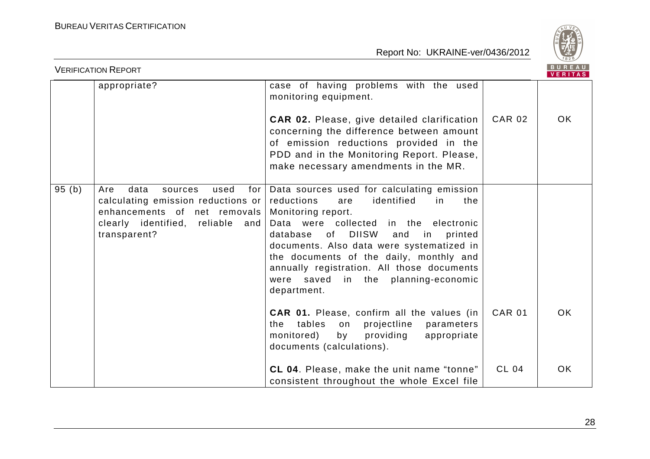

|       | <b>VERIFICATION REPORT</b>                                                                                                                                         |                                                                                                                                                                                                                                                                                                                                                                                                              |               | B U K E A U  <br><b>VERITAS</b> |
|-------|--------------------------------------------------------------------------------------------------------------------------------------------------------------------|--------------------------------------------------------------------------------------------------------------------------------------------------------------------------------------------------------------------------------------------------------------------------------------------------------------------------------------------------------------------------------------------------------------|---------------|---------------------------------|
|       | appropriate?                                                                                                                                                       | case of having problems with the used<br>monitoring equipment.<br><b>CAR 02.</b> Please, give detailed clarification<br>concerning the difference between amount<br>of emission reductions provided in the<br>PDD and in the Monitoring Report. Please,<br>make necessary amendments in the MR.                                                                                                              | <b>CAR 02</b> | OK.                             |
| 95(b) | Are<br>data<br>used<br>for<br>sources<br>calculating emission reductions or<br>enhancements of net removals<br>clearly identified, reliable<br>and<br>transparent? | Data sources used for calculating emission<br>identified<br>reductions<br>in<br>the<br>are<br>Monitoring report.<br>Data were collected in the electronic<br><b>DIISW</b><br>database of<br>printed<br>and<br>in<br>documents. Also data were systematized in<br>the documents of the daily, monthly and<br>annually registration. All those documents<br>were saved in the planning-economic<br>department. |               |                                 |
|       |                                                                                                                                                                    | <b>CAR 01.</b> Please, confirm all the values (in<br>the tables on<br>projectline<br>parameters<br>monitored)<br>providing<br>by<br>appropriate<br>documents (calculations).                                                                                                                                                                                                                                 | <b>CAR 01</b> | OK.                             |
|       |                                                                                                                                                                    | CL 04. Please, make the unit name "tonne"<br>consistent throughout the whole Excel file                                                                                                                                                                                                                                                                                                                      | <b>CL 04</b>  | OK.                             |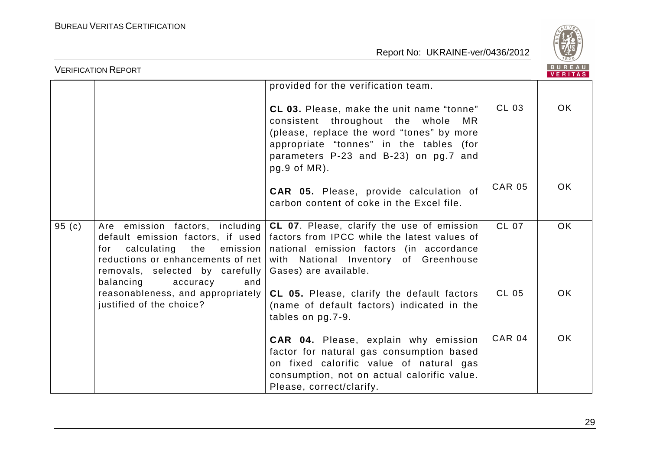

|       | <b>VERIFICATION REPORT</b>                                                                                  |                                                                                                                                                                                                                                                                                                           |               | <b>BUREAU</b><br><b>VERITAS</b> |
|-------|-------------------------------------------------------------------------------------------------------------|-----------------------------------------------------------------------------------------------------------------------------------------------------------------------------------------------------------------------------------------------------------------------------------------------------------|---------------|---------------------------------|
|       |                                                                                                             | provided for the verification team.                                                                                                                                                                                                                                                                       |               |                                 |
|       |                                                                                                             | CL 03. Please, make the unit name "tonne"<br>consistent throughout the whole<br>MR.<br>(please, replace the word "tones" by more<br>appropriate "tonnes" in the tables (for<br>parameters P-23 and B-23) on pg.7 and<br>$pg.9$ of MR).                                                                    | CL 03         | OK.                             |
|       |                                                                                                             | <b>CAR 05.</b> Please, provide calculation of<br>carbon content of coke in the Excel file.                                                                                                                                                                                                                | <b>CAR 05</b> | OK.                             |
| 95(c) | for<br>reductions or enhancements of net<br>removals, selected by carefully<br>balancing<br>accuracy<br>and | Are emission factors, including $ CL O7$ . Please, clarify the use of emission<br>default emission factors, if used   factors from IPCC while the latest values of<br>calculating the emission national emission factors (in accordance<br>with National Inventory of Greenhouse<br>Gases) are available. | <b>CL 07</b>  | <b>OK</b>                       |
|       | reasonableness, and appropriately  <br>justified of the choice?                                             | CL 05. Please, clarify the default factors<br>(name of default factors) indicated in the<br>tables on pg.7-9.                                                                                                                                                                                             | <b>CL 05</b>  | OK.                             |
|       |                                                                                                             | CAR 04. Please, explain why emission<br>factor for natural gas consumption based<br>on fixed calorific value of natural gas<br>consumption, not on actual calorific value.<br>Please, correct/clarify.                                                                                                    | <b>CAR 04</b> | OK.                             |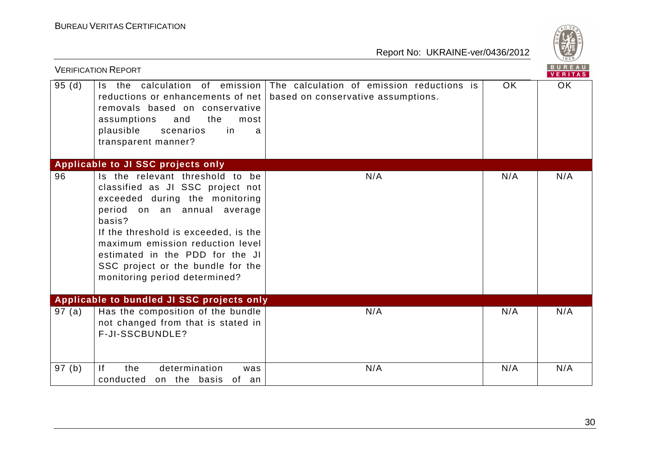

|       | <b>VERIFICATION REPORT</b>                                                                                                                                                                                                                                                                                                          |                                                                                 |     | BUREAU<br><b>VERITAS</b> |
|-------|-------------------------------------------------------------------------------------------------------------------------------------------------------------------------------------------------------------------------------------------------------------------------------------------------------------------------------------|---------------------------------------------------------------------------------|-----|--------------------------|
| 95(d) | Is the calculation of emission<br>reductions or enhancements of net<br>removals based on conservative<br>assumptions<br>the<br>and<br>most<br>plausible<br>in.<br>scenarios<br>a<br>transparent manner?                                                                                                                             | The calculation of emission reductions is<br>based on conservative assumptions. | OK. | OK.                      |
|       | Applicable to JI SSC projects only                                                                                                                                                                                                                                                                                                  |                                                                                 |     |                          |
| 96    | Is the relevant threshold to be<br>classified as JI SSC project not<br>exceeded during the monitoring<br>period on an annual average<br>basis?<br>If the threshold is exceeded, is the<br>maximum emission reduction level<br>estimated in the PDD for the JI<br>SSC project or the bundle for the<br>monitoring period determined? | N/A                                                                             | N/A | N/A                      |
|       | Applicable to bundled JI SSC projects only                                                                                                                                                                                                                                                                                          |                                                                                 |     |                          |
| 97(a) | Has the composition of the bundle<br>not changed from that is stated in<br>F-JI-SSCBUNDLE?                                                                                                                                                                                                                                          | N/A                                                                             | N/A | N/A                      |
| 97(b) | the<br>determination<br> f <br>was<br>conducted on the basis of an                                                                                                                                                                                                                                                                  | N/A                                                                             | N/A | N/A                      |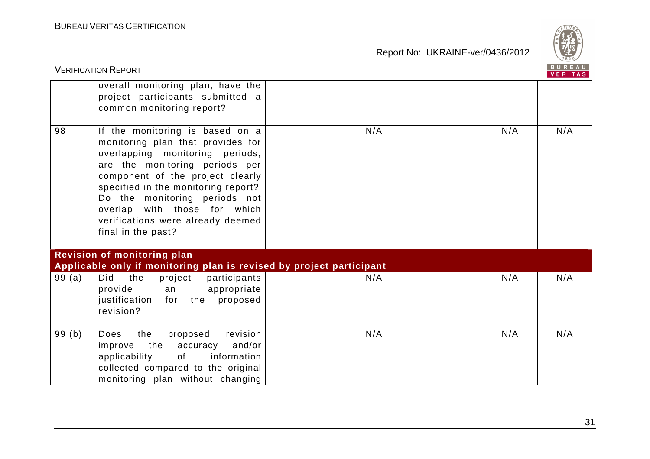

|       | <b>VERIFICATION REPORT</b>                                                                                                                                                                                                                                                                                                                       |     |     | B U R E A U  <br><b>VERITAS</b> |
|-------|--------------------------------------------------------------------------------------------------------------------------------------------------------------------------------------------------------------------------------------------------------------------------------------------------------------------------------------------------|-----|-----|---------------------------------|
|       | overall monitoring plan, have the<br>project participants submitted a<br>common monitoring report?                                                                                                                                                                                                                                               |     |     |                                 |
| 98    | If the monitoring is based on a<br>monitoring plan that provides for<br>overlapping monitoring periods,<br>are the monitoring periods per<br>component of the project clearly<br>specified in the monitoring report?<br>Do the monitoring periods not<br>overlap with those for which<br>verifications were already deemed<br>final in the past? | N/A | N/A | N/A                             |
|       | Revision of monitoring plan<br>Applicable only if monitoring plan is revised by project participant                                                                                                                                                                                                                                              |     |     |                                 |
| 99(a) | Did<br>the<br>project<br>participants<br>provide<br>appropriate<br>an<br>for the proposed<br>justification<br>revision?                                                                                                                                                                                                                          | N/A | N/A | N/A                             |
| 99(b) | revision<br>the<br>proposed<br><b>Does</b><br>and/or<br>improve<br>the<br>accuracy<br>applicability<br>information<br>of<br>collected compared to the original<br>monitoring plan without changing                                                                                                                                               | N/A | N/A | N/A                             |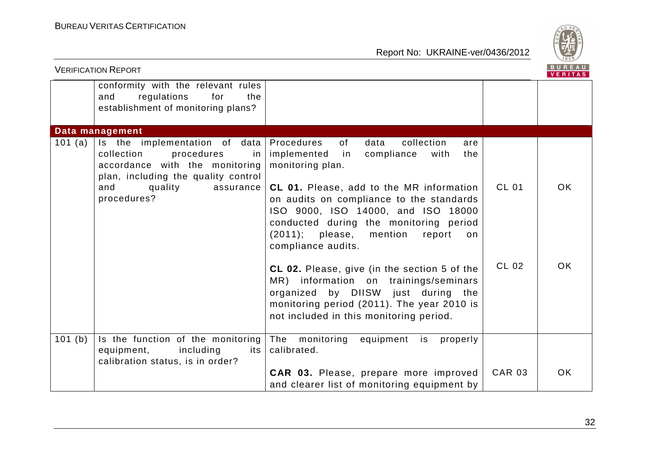

| <b>VERIFICATION REPORT</b> |                                                                                                                                          |                                                                                                                                                                                                                                         |               | <b>BUREAU</b><br><b>VERITAS</b> |
|----------------------------|------------------------------------------------------------------------------------------------------------------------------------------|-----------------------------------------------------------------------------------------------------------------------------------------------------------------------------------------------------------------------------------------|---------------|---------------------------------|
|                            | conformity with the relevant rules<br>regulations<br>and<br>for<br>the<br>establishment of monitoring plans?                             |                                                                                                                                                                                                                                         |               |                                 |
|                            | Data management                                                                                                                          |                                                                                                                                                                                                                                         |               |                                 |
| 101 (a)                    | Is the implementation of data<br>collection<br>procedures<br>in<br>accordance with the monitoring<br>plan, including the quality control | Procedures<br>of<br>data<br>collection<br>are<br>implemented<br>in<br>compliance<br>with<br>the<br>monitoring plan.                                                                                                                     |               |                                 |
|                            | quality<br>and<br>assurance<br>procedures?                                                                                               | CL 01. Please, add to the MR information<br>on audits on compliance to the standards<br>ISO 9000, ISO 14000, and ISO 18000<br>conducted during the monitoring period<br>$(2011);$ please, mention<br>report<br>on<br>compliance audits. | <b>CL 01</b>  | <b>OK</b>                       |
|                            |                                                                                                                                          | CL 02. Please, give (in the section 5 of the<br>MR) information on trainings/seminars<br>organized by DIISW just during<br>the<br>monitoring period (2011). The year 2010 is<br>not included in this monitoring period.                 | CL 02         | <b>OK</b>                       |
| 101(b)                     | Is the function of the monitoring<br>equipment,<br>including<br>its<br>calibration status, is in order?                                  | The monitoring<br>equipment is<br>properly<br>calibrated.                                                                                                                                                                               |               |                                 |
|                            |                                                                                                                                          | CAR 03. Please, prepare more improved<br>and clearer list of monitoring equipment by                                                                                                                                                    | <b>CAR 03</b> | <b>OK</b>                       |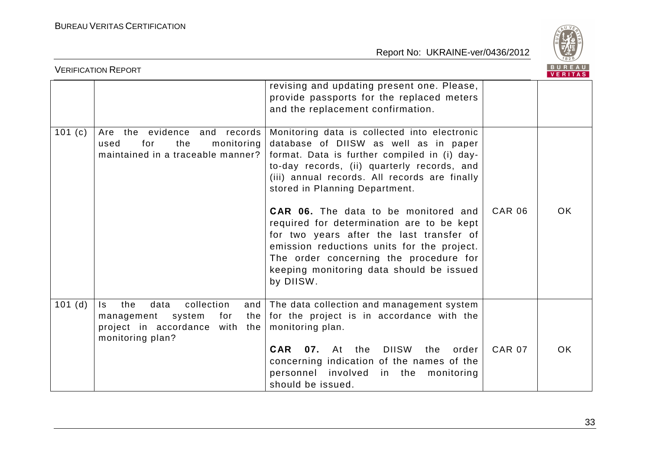

|        | <b>VERIFICATION REPORT</b>                                                                                                          |                                                                                                                                                                                                                                                                                                                                                                                                                                                                                                                                                                  |               | BUREAU<br><b>VERITAS</b> |
|--------|-------------------------------------------------------------------------------------------------------------------------------------|------------------------------------------------------------------------------------------------------------------------------------------------------------------------------------------------------------------------------------------------------------------------------------------------------------------------------------------------------------------------------------------------------------------------------------------------------------------------------------------------------------------------------------------------------------------|---------------|--------------------------|
|        |                                                                                                                                     | revising and updating present one. Please,<br>provide passports for the replaced meters<br>and the replacement confirmation.                                                                                                                                                                                                                                                                                                                                                                                                                                     |               |                          |
| 101(c) | Are the evidence and<br>records<br>monitoring<br>for<br>the<br>used<br>maintained in a traceable manner?                            | Monitoring data is collected into electronic<br>database of DIISW as well as in paper<br>format. Data is further compiled in (i) day-<br>to-day records, (ii) quarterly records, and<br>(iii) annual records. All records are finally<br>stored in Planning Department.<br><b>CAR 06.</b> The data to be monitored and<br>required for determination are to be kept<br>for two years after the last transfer of<br>emission reductions units for the project.<br>The order concerning the procedure for<br>keeping monitoring data should be issued<br>by DIISW. | <b>CAR 06</b> | <b>OK</b>                |
| 101(d) | collection<br>data<br>the<br>and<br>Is.<br>system<br>for<br>the<br>management<br>project in accordance with the<br>monitoring plan? | The data collection and management system<br>for the project is in accordance with the<br>monitoring plan.<br><b>DIISW</b><br>CAR<br>07.<br>At the<br>the<br>order<br>concerning indication of the names of the<br>personnel involved<br>in the monitoring<br>should be issued.                                                                                                                                                                                                                                                                                  | <b>CAR 07</b> | <b>OK</b>                |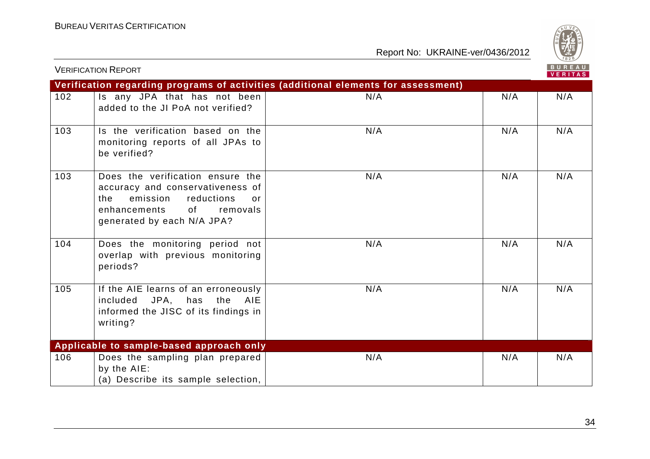

|     | <b>VERIFICATION REPORT</b>                                                                                                                                                  |                                                                                    |     | BUREAU<br>VERITAS |
|-----|-----------------------------------------------------------------------------------------------------------------------------------------------------------------------------|------------------------------------------------------------------------------------|-----|-------------------|
|     |                                                                                                                                                                             | Verification regarding programs of activities (additional elements for assessment) |     |                   |
| 102 | Is any JPA that has not been<br>added to the JI PoA not verified?                                                                                                           | N/A                                                                                | N/A | N/A               |
| 103 | Is the verification based on the<br>monitoring reports of all JPAs to<br>be verified?                                                                                       | N/A                                                                                | N/A | N/A               |
| 103 | Does the verification ensure the<br>accuracy and conservativeness of<br>emission<br>reductions<br>the<br>or<br>of<br>enhancements<br>removals<br>generated by each N/A JPA? | N/A                                                                                | N/A | N/A               |
| 104 | Does the monitoring period not<br>overlap with previous monitoring<br>periods?                                                                                              | N/A                                                                                | N/A | N/A               |
| 105 | If the AIE learns of an erroneously<br>AIE<br>included JPA, has the<br>informed the JISC of its findings in<br>writing?                                                     | N/A                                                                                | N/A | N/A               |
|     | Applicable to sample-based approach only                                                                                                                                    |                                                                                    |     |                   |
| 106 | Does the sampling plan prepared<br>by the AIE:<br>(a) Describe its sample selection,                                                                                        | N/A                                                                                | N/A | N/A               |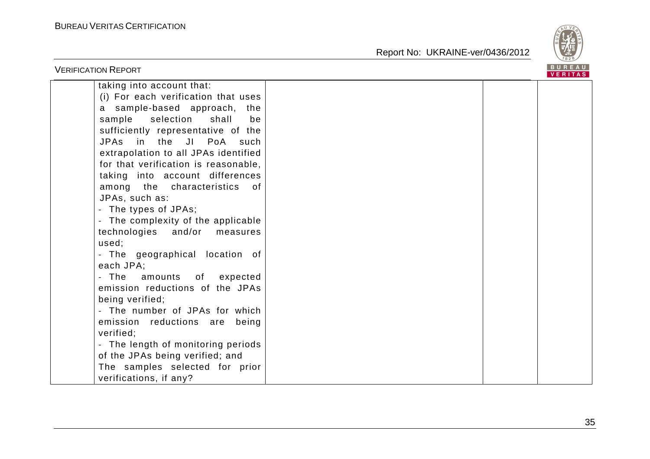

| <b>VERIFICATION REPORT</b>                                                                                                                                                                                                                                                                                                                                                                                                                                                                                                                                                                                                                                                                                 |  | BUREAU<br>VERITAS |
|------------------------------------------------------------------------------------------------------------------------------------------------------------------------------------------------------------------------------------------------------------------------------------------------------------------------------------------------------------------------------------------------------------------------------------------------------------------------------------------------------------------------------------------------------------------------------------------------------------------------------------------------------------------------------------------------------------|--|-------------------|
| taking into account that:<br>(i) For each verification that uses<br>sample-based approach, the<br>a<br>sample<br>selection<br>shall<br>be<br>sufficiently representative of the<br>JPAs in the<br>JI PoA such<br>extrapolation to all JPAs identified<br>for that verification is reasonable,<br>taking into account differences<br>among the characteristics<br>of.<br>JPAs, such as:<br>The types of JPAs;<br>- The complexity of the applicable<br>technologies<br>and/or<br>measures<br>used;<br>- The geographical location of<br>each JPA;<br>The<br>amounts of expected<br>emission reductions of the JPAs<br>being verified;<br>- The number of JPAs for which<br>emission reductions are<br>being |  |                   |
| verified;<br>- The length of monitoring periods<br>of the JPAs being verified; and<br>The samples selected for prior<br>verifications, if any?                                                                                                                                                                                                                                                                                                                                                                                                                                                                                                                                                             |  |                   |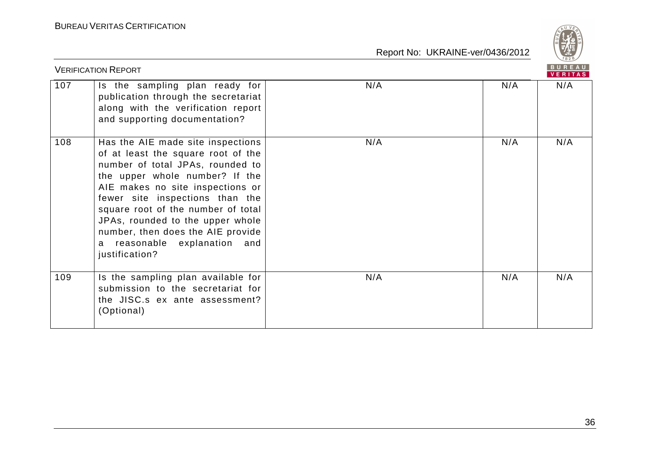

|     | <b>VERIFICATION REPORT</b>                                                                                                                                                                                                                                                                                                                                                               |     |     | BUREAU<br><b>VERITAS</b> |
|-----|------------------------------------------------------------------------------------------------------------------------------------------------------------------------------------------------------------------------------------------------------------------------------------------------------------------------------------------------------------------------------------------|-----|-----|--------------------------|
| 107 | Is the sampling plan ready for<br>publication through the secretariat<br>along with the verification report<br>and supporting documentation?                                                                                                                                                                                                                                             | N/A | N/A | N/A                      |
| 108 | Has the AIE made site inspections<br>of at least the square root of the<br>number of total JPAs, rounded to<br>the upper whole number? If the<br>AIE makes no site inspections or<br>fewer site inspections than the<br>square root of the number of total<br>JPAs, rounded to the upper whole<br>number, then does the AIE provide<br>reasonable explanation and<br>a<br>justification? | N/A | N/A | N/A                      |
| 109 | Is the sampling plan available for<br>submission to the secretariat for<br>the JISC.s ex ante assessment?<br>(Optional)                                                                                                                                                                                                                                                                  | N/A | N/A | N/A                      |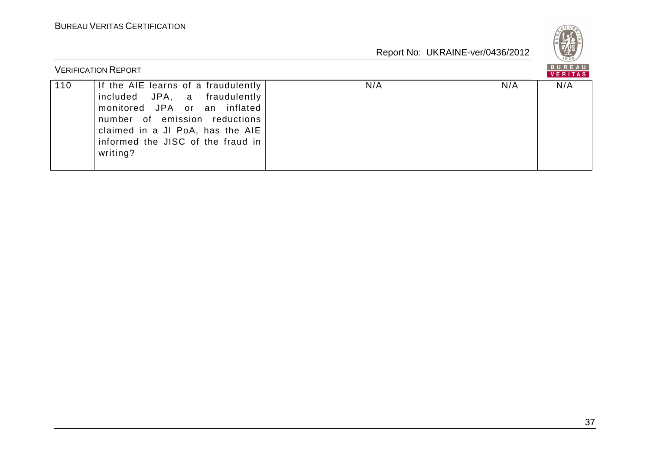

|     | <b>VERIFICATION REPORT</b>                                                                                                                                                                                                |     |     | BUREAU<br><b>VERITAS</b> |
|-----|---------------------------------------------------------------------------------------------------------------------------------------------------------------------------------------------------------------------------|-----|-----|--------------------------|
| 110 | If the AIE learns of a fraudulently<br>included JPA, a fraudulently<br>monitored JPA or an inflated<br>number of emission reductions<br>claimed in a JI PoA, has the AIE<br>informed the JISC of the fraud in<br>writing? | N/A | N/A | N/A                      |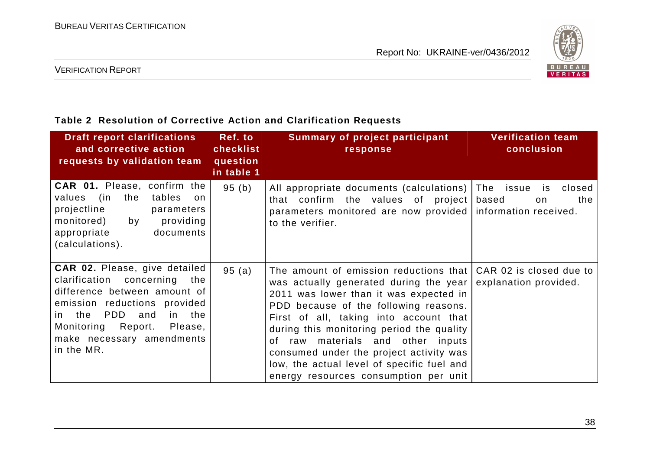

#### VERIFICATION REPORT

#### **Table 2 Resolution of Corrective Action and Clarification Requests**

| <b>Draft report clarifications</b><br>and corrective action<br>requests by validation team                                                                                                                                                             | Ref. to<br>checklist<br>question<br>in table 1 | <b>Summary of project participant</b><br>response                                                                                                                                                                                                                                                                                                                                                                                       | <b>Verification team</b><br>conclusion           |
|--------------------------------------------------------------------------------------------------------------------------------------------------------------------------------------------------------------------------------------------------------|------------------------------------------------|-----------------------------------------------------------------------------------------------------------------------------------------------------------------------------------------------------------------------------------------------------------------------------------------------------------------------------------------------------------------------------------------------------------------------------------------|--------------------------------------------------|
| <b>CAR 01.</b> Please, confirm the<br>the<br>tables<br>values<br>(in<br>on<br>projectline<br>parameters<br>by<br>providing<br>monitored)<br>appropriate<br>documents<br>(calculations).                                                                | 95(b)                                          | All appropriate documents (calculations) The issue is<br>that confirm the values of project<br>parameters monitored are now provided information received.<br>to the verifier.                                                                                                                                                                                                                                                          | closed<br>based<br>the<br>on                     |
| <b>CAR 02.</b> Please, give detailed<br>clarification concerning the<br>difference between amount of<br>emission reductions provided<br>PDD<br>in the<br>the<br>and<br>in.<br>Monitoring Report.<br>Please,<br>make necessary amendments<br>in the MR. | 95(a)                                          | The amount of emission reductions that<br>was actually generated during the year<br>2011 was lower than it was expected in<br>PDD because of the following reasons.<br>First of all, taking into account that<br>during this monitoring period the quality<br>materials and other inputs<br>0f<br>raw<br>consumed under the project activity was<br>low, the actual level of specific fuel and<br>energy resources consumption per unit | CAR 02 is closed due to<br>explanation provided. |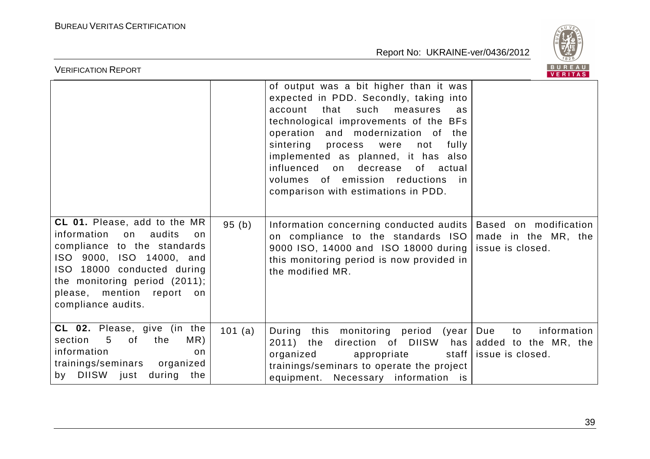

| <b>VERIFICATION REPORT</b>                                                                                                                                                                                                                     |         |                                                                                                                                                                                                                                                                                                                                                                                                                                 | BUREAU<br><b>VERITAS</b>                                                 |
|------------------------------------------------------------------------------------------------------------------------------------------------------------------------------------------------------------------------------------------------|---------|---------------------------------------------------------------------------------------------------------------------------------------------------------------------------------------------------------------------------------------------------------------------------------------------------------------------------------------------------------------------------------------------------------------------------------|--------------------------------------------------------------------------|
|                                                                                                                                                                                                                                                |         | of output was a bit higher than it was<br>expected in PDD. Secondly, taking into<br>that<br>such<br>account<br>measures<br>as<br>technological improvements of the BFs<br>operation and modernization of the<br>sintering process<br>fully<br>were<br>not<br>implemented as planned, it has also<br>influenced<br>on<br>decrease<br>of actual<br>volumes of emission reductions<br>in in<br>comparison with estimations in PDD. |                                                                          |
| CL 01. Please, add to the MR<br>information<br>on<br>audits<br>on<br>compliance to the standards<br>ISO 9000, ISO 14000, and<br>ISO 18000 conducted during<br>the monitoring period (2011);<br>please, mention report on<br>compliance audits. | 95(b)   | Information concerning conducted audits   Based on modification<br>on compliance to the standards ISO<br>9000 ISO, 14000 and ISO 18000 during  <br>this monitoring period is now provided in<br>the modified MR.                                                                                                                                                                                                                | made in the MR, the<br>issue is closed.                                  |
| CL 02. Please, give (in the<br>section<br>MR)<br>$5\overline{)}$<br>of<br>the<br>information<br>on<br>trainings/seminars<br>organized<br>by DIISW just during the                                                                              | 101 (a) | During this monitoring period (year<br>2011) the<br>direction of DIISW<br>organized<br>appropriate<br>staff  <br>trainings/seminars to operate the project<br>equipment. Necessary information is                                                                                                                                                                                                                               | Due<br>information<br>to<br>has added to the MR, the<br>issue is closed. |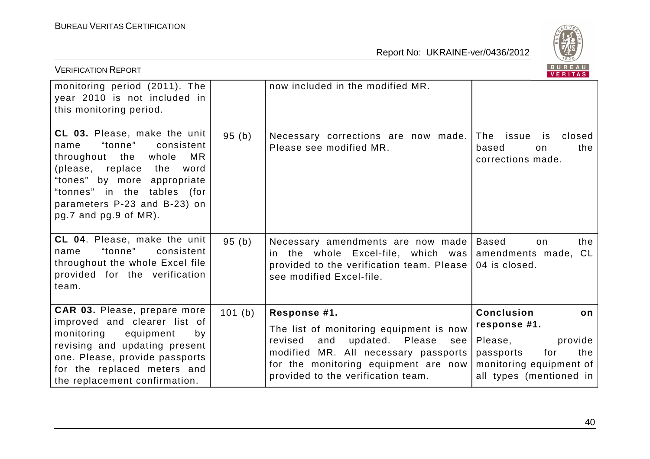

| <b>VERIFICATION REPORT</b>                                                                                                                                                                                                                                   |        |                                                                                                                                                                                                                              | BUREAU<br><b>VERITAS</b>                                                                                                                       |
|--------------------------------------------------------------------------------------------------------------------------------------------------------------------------------------------------------------------------------------------------------------|--------|------------------------------------------------------------------------------------------------------------------------------------------------------------------------------------------------------------------------------|------------------------------------------------------------------------------------------------------------------------------------------------|
| monitoring period (2011). The<br>year 2010 is not included in<br>this monitoring period.                                                                                                                                                                     |        | now included in the modified MR.                                                                                                                                                                                             |                                                                                                                                                |
| <b>CL 03.</b> Please, make the unit<br>"tonne"<br>consistent<br>name<br>MR<br>throughout the whole<br>(please, replace<br>the<br>word<br>"tones" by more appropriate<br>"tonnes" in the tables (for<br>parameters P-23 and B-23) on<br>pg.7 and pg.9 of MR). | 95(b)  | Necessary corrections are now made.<br>Please see modified MR.                                                                                                                                                               | The issue<br>closed<br>is<br>based<br>the<br>on<br>corrections made.                                                                           |
| CL 04. Please, make the unit<br>"tonne"<br>consistent<br>name<br>throughout the whole Excel file<br>provided for the verification<br>team.                                                                                                                   | 95(b)  | Necessary amendments are now made<br>the whole Excel-file, which was<br>in.<br>provided to the verification team. Please<br>see modified Excel-file.                                                                         | <b>Based</b><br>the<br>on<br>amendments made, CL<br>04 is closed.                                                                              |
| CAR 03. Please, prepare more<br>improved and clearer list of<br>monitoring<br>equipment<br>by<br>revising and updating present<br>one. Please, provide passports<br>for the replaced meters and<br>the replacement confirmation.                             | 101(b) | Response #1.<br>The list of monitoring equipment is now<br>updated.<br>revised<br>and<br>Please<br>see<br>modified MR. All necessary passports<br>for the monitoring equipment are now<br>provided to the verification team. | <b>Conclusion</b><br>on<br>response #1.<br>Please,<br>provide<br>the<br>passports<br>for<br>monitoring equipment of<br>all types (mentioned in |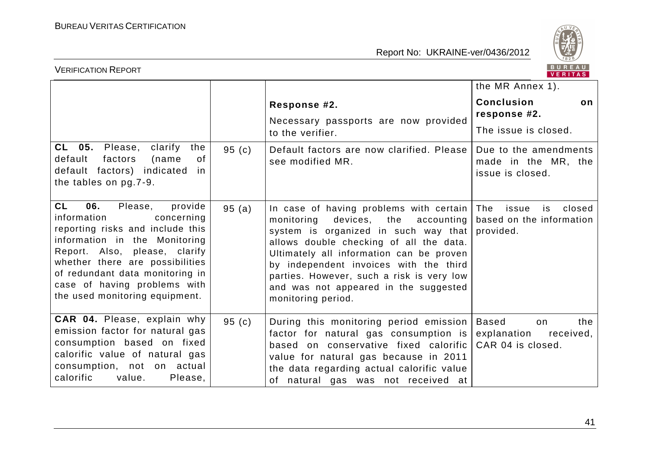

| <b>VERIFICATION REPORT</b>                                                                                                                                                                                                                                                                                        | BUREAU<br><b>VERITAS</b> |                                                                                                                                                                                                                                                                                                                                                                             |                                                                            |
|-------------------------------------------------------------------------------------------------------------------------------------------------------------------------------------------------------------------------------------------------------------------------------------------------------------------|--------------------------|-----------------------------------------------------------------------------------------------------------------------------------------------------------------------------------------------------------------------------------------------------------------------------------------------------------------------------------------------------------------------------|----------------------------------------------------------------------------|
|                                                                                                                                                                                                                                                                                                                   |                          |                                                                                                                                                                                                                                                                                                                                                                             | the MR Annex 1).                                                           |
|                                                                                                                                                                                                                                                                                                                   |                          | Response #2.<br>Necessary passports are now provided<br>to the verifier.                                                                                                                                                                                                                                                                                                    | <b>Conclusion</b><br>on.<br>response #2.<br>The issue is closed.           |
| CL 05. Please,<br>clarify<br>the<br>default<br>factors<br>0f<br>(name<br>default factors) indicated<br>.in<br>the tables on pg.7-9.                                                                                                                                                                               | 95(c)                    | Default factors are now clarified. Please<br>see modified MR.                                                                                                                                                                                                                                                                                                               | Due to the amendments<br>made in the MR, the<br>issue is closed.           |
| <b>CL</b><br>06.<br>provide<br>Please,<br>information<br>concerning<br>reporting risks and include this<br>information in the Monitoring<br>Report. Also, please, clarify<br>whether there are possibilities<br>of redundant data monitoring in<br>case of having problems with<br>the used monitoring equipment. | 95(a)                    | In case of having problems with certain<br>devices,<br>accounting<br>monitoring<br>the<br>system is organized in such way that<br>allows double checking of all the data.<br>Ultimately all information can be proven<br>by independent invoices with the third<br>parties. However, such a risk is very low<br>and was not appeared in the suggested<br>monitoring period. | The<br>closed<br>issue<br>is<br>based on the information<br>provided.      |
| CAR 04. Please, explain why<br>emission factor for natural gas<br>consumption based on fixed<br>calorific value of natural gas<br>consumption, not on actual<br>calorific<br>value.<br>Please,                                                                                                                    | 95(c)                    | During this monitoring period emission<br>factor for natural gas consumption is<br>based on conservative fixed calorific<br>value for natural gas because in 2011<br>the data regarding actual calorific value<br>of natural gas was not received at                                                                                                                        | <b>Based</b><br>the<br>on<br>explanation<br>received,<br>CAR 04 is closed. |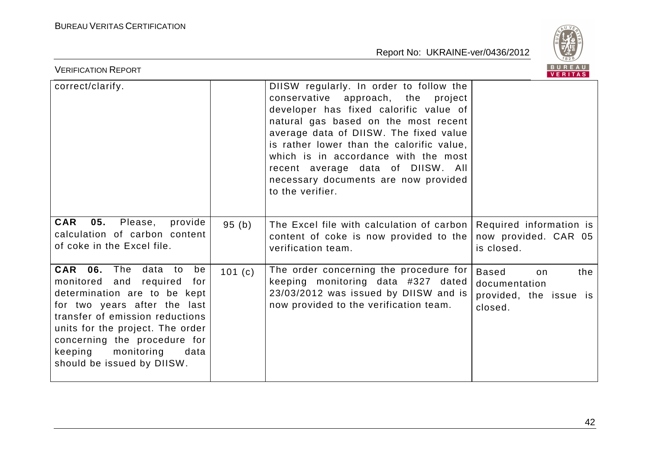

| BUREAU<br><b>VERIFICATION REPORT</b><br>VERITAS                                                                                                                                                                                                                                               |        |                                                                                                                                                                                                                                                                                                                                                                                                 |                                                                                 |  |
|-----------------------------------------------------------------------------------------------------------------------------------------------------------------------------------------------------------------------------------------------------------------------------------------------|--------|-------------------------------------------------------------------------------------------------------------------------------------------------------------------------------------------------------------------------------------------------------------------------------------------------------------------------------------------------------------------------------------------------|---------------------------------------------------------------------------------|--|
| correct/clarify.                                                                                                                                                                                                                                                                              |        | DIISW regularly. In order to follow the<br>conservative approach, the project<br>developer has fixed calorific value of<br>natural gas based on the most recent<br>average data of DIISW. The fixed value<br>is rather lower than the calorific value,<br>which is in accordance with the most<br>recent average data of DIISW. All<br>necessary documents are now provided<br>to the verifier. |                                                                                 |  |
| 05.<br>Please,<br><b>CAR</b><br>provide<br>calculation of carbon content<br>of coke in the Excel file.                                                                                                                                                                                        | 95(b)  | The Excel file with calculation of carbon  <br>content of coke is now provided to the<br>verification team.                                                                                                                                                                                                                                                                                     | Required information is<br>now provided. CAR 05<br>is closed.                   |  |
| CAR 06. The data to<br>be<br>monitored and required<br>for<br>determination are to be kept<br>for two years after the last<br>transfer of emission reductions<br>units for the project. The order<br>concerning the procedure for<br>keeping monitoring<br>data<br>should be issued by DIISW. | 101(c) | The order concerning the procedure for<br>keeping monitoring data #327 dated<br>23/03/2012 was issued by DIISW and is<br>now provided to the verification team.                                                                                                                                                                                                                                 | <b>Based</b><br>the<br>on<br>documentation<br>provided, the issue is<br>closed. |  |